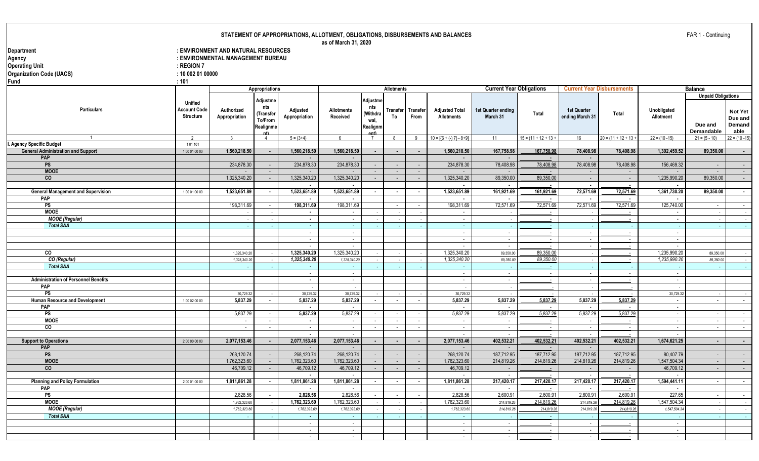| STATEMENT OF APPROPRIATIONS, ALLOTMENT, OBLIGATIONS, DISBURSEMENTS AND BALANCES |  |  |
|---------------------------------------------------------------------------------|--|--|
|                                                                                 |  |  |

**as of March 31, 2020**

| Department<br>Agency<br><b>Operating Unit</b><br><b>Organization Code (UACS)</b><br>Fund | $:$ REGION 7<br>: 100020100000<br>:101             | : ENVIRONMENT AND NATURAL RESOURCES<br>: ENVIRONMENTAL MANAGEMENT BUREAU |                                                             |                                | as of March 31, 2020          |                                                         |                   |                         |                                                      |                                 |                        |                                       |                                   |                          |                                                           |                                      |
|------------------------------------------------------------------------------------------|----------------------------------------------------|--------------------------------------------------------------------------|-------------------------------------------------------------|--------------------------------|-------------------------------|---------------------------------------------------------|-------------------|-------------------------|------------------------------------------------------|---------------------------------|------------------------|---------------------------------------|-----------------------------------|--------------------------|-----------------------------------------------------------|--------------------------------------|
|                                                                                          |                                                    |                                                                          | Appropriations                                              |                                |                               |                                                         | <b>Allotments</b> |                         |                                                      | <b>Current Year Obligations</b> |                        |                                       | <b>Current Year Disbursements</b> |                          | <b>Balance</b>                                            |                                      |
| <b>Particulars</b>                                                                       | <b>Unified</b><br>Account Code<br><b>Structure</b> | Authorized<br>Appropriation                                              | Adjustme<br>nts<br>Transfer)<br>To/From<br>Realignme<br>nt) | Adjusted<br>Appropriation      | <b>Allotments</b><br>Received | Adjustme<br>nts<br>(Withdra<br>wal,<br>Realignm<br>ant) | Transfer<br>To    | <b>Transfer</b><br>From | <b>Adjusted Total</b><br><b>Allotments</b>           | 1st Quarter ending<br>March 31  | Total                  | <b>1st Quarter</b><br>ending March 31 | Total                             | Unobligated<br>Allotment | <b>Unpaid Obligations</b><br>Due and<br><b>Demandable</b> | Not Yet<br>Due and<br>Demand<br>able |
|                                                                                          | $\overline{2}$                                     |                                                                          | $\overline{4}$                                              | $5 = (3+4)$                    | 6                             | $\overline{7}$                                          | 8                 | 9                       | $10 = \left[\left\{6 + (-) 7\right\} - 8 + 9\right]$ | 11                              | $15 = (11 + 12 + 13 +$ | 16                                    | $20 = (11 + 12 + 13$              | $22 = (10 - 15)$         | $21 = (5 - 10)$                                           | $22 = (10 - 15)$                     |
| <b>Agency Specific Budget</b>                                                            | 101101                                             |                                                                          |                                                             |                                |                               |                                                         |                   |                         |                                                      |                                 |                        |                                       |                                   |                          |                                                           |                                      |
| <b>General Administration and Support</b>                                                | 100010000                                          | 1,560,218.50                                                             | $\sim$                                                      | 1,560,218.50                   | 1,560,218.50                  | $\overline{\phantom{a}}$                                | $\sim$            | $\sim$                  | 1,560,218.50                                         | 167,758.98                      | 167,758.98             | 78,408.98                             | 78,408.98                         | 1,392,459.52             | 89,350.00                                                 | $\sim$                               |
| <b>PAP</b>                                                                               |                                                    |                                                                          |                                                             |                                |                               |                                                         |                   |                         |                                                      | $\sim$                          |                        | $\sim$                                |                                   |                          |                                                           |                                      |
| PS                                                                                       |                                                    | 234,878.30                                                               | $\sim$                                                      | 234,878.30                     | 234,878.30                    | $\sim$                                                  | $\sim$            | $\sim$                  | 234,878.30                                           | 78,408.98                       | 78,408.98              | 78,408.98                             | 78,408.98                         | 156,469.32               | $\sim$                                                    | $\sim 10^{-11}$                      |
| <b>MOOE</b>                                                                              |                                                    |                                                                          | $\sim$                                                      | $\sim$                         |                               | $\sim$                                                  | $\sim$            | $\sim$                  |                                                      | $\sim$                          |                        | $\sim$                                |                                   |                          | $\sim$                                                    | $\sim$ $-$                           |
| co                                                                                       |                                                    | 1,325,340.20                                                             | $\sim$                                                      | 1,325,340.20<br>$\sim$         | 1,325,340.20                  | $\sim$                                                  | $\sim$            | $\sim$                  | 1,325,340.20                                         | 89,350.00<br>$\sim$             | 89,350.00              | $\sim$<br>$\sim$                      | $\sim$                            | 1,235,990.20             | 89,350.00                                                 | $\sim$ $-$                           |
| <b>General Management and Supervision</b>                                                | 100010000                                          | 1,523,651.89                                                             | $\sim$                                                      | 1,523,651.89                   | 1,523,651.89                  |                                                         | $\sim$            | $\blacksquare$          | 1,523,651.89                                         | 161,921.69                      | 161,921.69             | 72,571.69                             | 72,571.69                         | 1,361,730.20             | 89,350.00                                                 | $\sim$                               |
| <b>PAP</b>                                                                               |                                                    |                                                                          |                                                             | $\blacksquare$                 |                               |                                                         |                   |                         |                                                      | $\blacksquare$                  |                        |                                       |                                   | $\blacksquare$           |                                                           |                                      |
| PS                                                                                       |                                                    | 198,311.69                                                               | $\sim$                                                      | 198,311.69                     | 198,311.69                    |                                                         | $\sim$            | $\sim$                  | 198,311.69                                           | 72,571.69                       | 72.571.69              | 72,571.69                             | 72.571.69                         | 125,740.00               | $\sim$                                                    | $\sim 10$                            |
| <b>MOOE</b>                                                                              |                                                    |                                                                          |                                                             | $\sim$                         | $\sim$                        |                                                         |                   |                         | $\sim$                                               |                                 | $\sim$                 |                                       |                                   | $\sim$                   |                                                           | $\sim$                               |
| <b>MOOE</b> (Regular)                                                                    |                                                    |                                                                          |                                                             | $\overline{\phantom{a}}$       | in 1919.                      |                                                         |                   |                         | $\sim$                                               |                                 |                        |                                       |                                   | $\sim$                   |                                                           |                                      |
| <b>Total SAA</b>                                                                         |                                                    |                                                                          |                                                             | $\sim$                         | $\sim$                        |                                                         |                   |                         | $\sim$                                               |                                 |                        |                                       |                                   |                          |                                                           | <b>Contract</b>                      |
|                                                                                          |                                                    |                                                                          |                                                             | $\sim$                         | $\sim$                        |                                                         |                   |                         | $\sim$                                               | $\sim$                          |                        | $\sim$                                |                                   | $\mathbb{Z}^2$           |                                                           |                                      |
|                                                                                          |                                                    |                                                                          |                                                             | $\sim$                         | $\sim$                        |                                                         |                   |                         | $\sim$                                               | $\sim$                          | $\sim$                 | $\sim$                                | $\sim$                            | $\sim$                   |                                                           |                                      |
|                                                                                          |                                                    |                                                                          |                                                             | $\sim$                         |                               |                                                         |                   |                         | $\sim$                                               | $\sim$                          |                        | $\sim$                                | $\sim$                            | $\sim$                   |                                                           |                                      |
| CO                                                                                       |                                                    | 1,325,340.2                                                              |                                                             | 1,325,340.20                   | 1,325,340.20                  |                                                         |                   |                         | 1,325,340.20                                         | 89,350.0                        | 89.350.00              |                                       | $\sim$                            | 1,235,990.20             | 89,350.0                                                  |                                      |
| CO (Regular)                                                                             |                                                    | 1,325,340.2                                                              |                                                             | 1,325,340.20                   | 1,325,340.20                  |                                                         |                   |                         | 1,325,340.20                                         | 89,350.00                       | 89,350.00              |                                       | $\sim$                            | 1,235,990.20             | 89,350.00                                                 | $\sim$                               |
| <b>Total SAA</b>                                                                         |                                                    |                                                                          |                                                             |                                |                               |                                                         |                   |                         |                                                      |                                 |                        |                                       |                                   |                          |                                                           |                                      |
|                                                                                          |                                                    |                                                                          |                                                             | $\sim$                         | $\sim$                        |                                                         |                   |                         | $\sim$                                               | $\sim$                          |                        | $\sim$                                |                                   | $\sim$                   |                                                           |                                      |
| <b>Administration of Personnel Benefits</b>                                              |                                                    |                                                                          |                                                             | $\sim$                         | $\sim$                        |                                                         |                   |                         | $\sim$                                               | $\sim$                          |                        | $\sim$                                |                                   | $\sim$                   |                                                           |                                      |
| <b>PAP</b>                                                                               |                                                    |                                                                          |                                                             |                                |                               |                                                         |                   |                         |                                                      |                                 |                        |                                       |                                   |                          |                                                           |                                      |
| <b>PS</b>                                                                                |                                                    | 30,729.32                                                                |                                                             | 30,729.32                      | 30,729.32                     |                                                         |                   |                         | 30,729.32                                            |                                 |                        |                                       |                                   | 30,729.32                |                                                           | $\sim$                               |
| Human Resource and Development                                                           | 100 02 00 00                                       | 5.837.29                                                                 | $\blacksquare$                                              | 5,837.29                       | 5,837.29                      |                                                         | $\blacksquare$    | $\blacksquare$          | 5.837.29                                             | 5,837.29                        | 5,837.29               | 5,837.29                              | 5,837.29                          | $\blacksquare$           | $\blacksquare$                                            | $\sim$                               |
| PAP                                                                                      |                                                    |                                                                          |                                                             | $\blacksquare$                 | $\overline{\phantom{a}}$      |                                                         |                   |                         | $\sim$                                               | $\sim$                          |                        | $\sim$                                |                                   | $\sim$                   |                                                           |                                      |
| PS                                                                                       |                                                    | 5,837.29                                                                 | $\sim$                                                      | 5,837.29                       | 5,837.29                      |                                                         | $\sim$            | $\sim$                  | 5,837.29                                             | 5,837.29                        | 5,837.29               | 5,837.29                              | 5,837.29                          | $\sim$                   | $\sim$                                                    | $\sim 100$                           |
| <b>MOOE</b>                                                                              |                                                    | $\sim$                                                                   | $\sim$                                                      | $\sim$                         | $\sim$                        | $\sim$                                                  | $\sim$            | $\sim$                  | $\sim$                                               | $\sim$                          | $\sim$                 | $\sim$                                |                                   | $\sim$                   | $\sim$                                                    | $\sim 10$                            |
| co                                                                                       |                                                    | $\sim$                                                                   | $\sim$                                                      | $\sim$                         | $\sim$                        | $\sim$                                                  | $\sim$            | $\sim$                  | $\sim$                                               | $\sim$                          | $\sim$                 | $\sim$                                | $\sim$                            | $\sim$                   | $\sim$                                                    | $\sim$                               |
|                                                                                          |                                                    |                                                                          |                                                             | $\overline{a}$                 |                               |                                                         |                   |                         |                                                      | n.                              |                        | n.                                    |                                   | $\sim$                   |                                                           |                                      |
| <b>Support to Operations</b>                                                             | 200000000                                          | 2,077,153.46                                                             | $\sim$                                                      | 2,077,153.46                   | 2,077,153.46                  | $\blacksquare$                                          | $\sim$            | $\blacksquare$          | 2,077,153.46                                         | 402,532.21                      | 402,532.21             | 402,532.21                            | 402.532.21                        | 1,674,621.25             | $\blacksquare$                                            | $\sim$                               |
| PAP                                                                                      |                                                    |                                                                          |                                                             |                                |                               |                                                         |                   |                         |                                                      |                                 |                        |                                       |                                   |                          |                                                           |                                      |
| <b>PS</b>                                                                                |                                                    | 268,120.74                                                               | $\sim$                                                      | 268,120.74                     | 268,120.74                    | $\sim$                                                  | $\sim$            | $\sim$                  | 268,120.74                                           | 187,712.95                      | 187.712.95             | 187,712.95                            | 187,712.95                        | 80,407.79                | $\sim$                                                    | $\sim$ $-$                           |
| <b>MOOE</b>                                                                              |                                                    | 1,762,323.60                                                             | $\sim$                                                      | 1,762,323.60                   | 1,762,323.60                  | $\sim$                                                  | $\sim$            | $\sim$                  | 1,762,323.60                                         | 214,819.26                      | 214,819.26             | 214,819.26                            | 214,819.26                        | 1,547,504.34             | $\sim$                                                    | $\sim$ 100 $\pm$                     |
| $\overline{co}$                                                                          |                                                    | 46.709.12                                                                | $\sim$                                                      | 46,709.12                      | 46,709.12                     | $\sim$                                                  | $\sim$            | $\sim$                  | 46,709.12                                            | $\sim$                          |                        | $\sim$                                | $\sim$                            | 46,709.12                | $\sim$                                                    | $\sim$                               |
|                                                                                          |                                                    |                                                                          |                                                             | $\blacksquare$<br>1,811,861.28 | 1,811,861.28                  |                                                         |                   |                         | 1,811,861.28                                         | $\sim$<br>217,420.17            |                        | $\sim$<br>217,420.17                  |                                   | $\sim$<br>1,594,441.11   |                                                           |                                      |
| <b>Planning and Policy Formulation</b><br>PAP                                            | 200010000                                          | 1,811,861.28                                                             | $\blacksquare$                                              |                                |                               |                                                         | $\blacksquare$    | $\blacksquare$          |                                                      |                                 | 217,420.17             |                                       | 217,420.17                        |                          | $\blacksquare$                                            | $\sim$                               |
| $\overline{\mathsf{PS}}$                                                                 |                                                    | 2,828.56                                                                 | $\sim$                                                      | $\blacksquare$<br>2,828.56     | $\blacksquare$<br>2,828.56    |                                                         | $\sim$            | $\sim$                  | $\blacksquare$<br>2,828.56                           | $\blacksquare$<br>2,600.91      | 2,600.91               | $\sim$<br>2,600.91                    | 2,600.91                          | $\sim$<br>227.65         | $\sim$                                                    |                                      |
| <b>MOOE</b>                                                                              |                                                    |                                                                          |                                                             | 1,762,323.60                   | 1,762,323.60                  |                                                         |                   |                         | 1,762,323.60                                         |                                 | 214.819.26             |                                       | 214.819.26                        | 1,547,504.34             |                                                           | $\sim$                               |
|                                                                                          |                                                    | 1,762,323.6                                                              |                                                             |                                |                               |                                                         |                   |                         |                                                      | 214,819.2                       |                        | 214,819.26                            |                                   |                          |                                                           | $\sim 10^{-1}$                       |
| <b>MOOE</b> (Regular)                                                                    |                                                    | 1,762,323.6                                                              |                                                             | 1,762,323.60                   | 1,762,323.60                  |                                                         |                   |                         | 1,762,323.60                                         | 214,819.26                      | 214,819.26             | 214,819.2                             | 214,819.26                        | 1,547,504.3              |                                                           | $\sim$                               |
| <b>Total SAA</b>                                                                         |                                                    |                                                                          |                                                             | $\sim$                         | $\sim$                        |                                                         |                   |                         | $\sim$                                               |                                 |                        |                                       |                                   |                          |                                                           | $\sim 10^{-11}$                      |
|                                                                                          |                                                    |                                                                          |                                                             | $\sim$                         | $\sim$                        |                                                         |                   |                         | $\sim$                                               | $\sim$                          |                        | $\sim$                                |                                   | $\sim$                   |                                                           |                                      |
|                                                                                          |                                                    |                                                                          |                                                             | $\sim$                         | $\sim$                        |                                                         |                   |                         | $\sim$                                               | $\sim$                          |                        | $\sim$                                |                                   | $\sim$                   |                                                           |                                      |

- - - - - - - -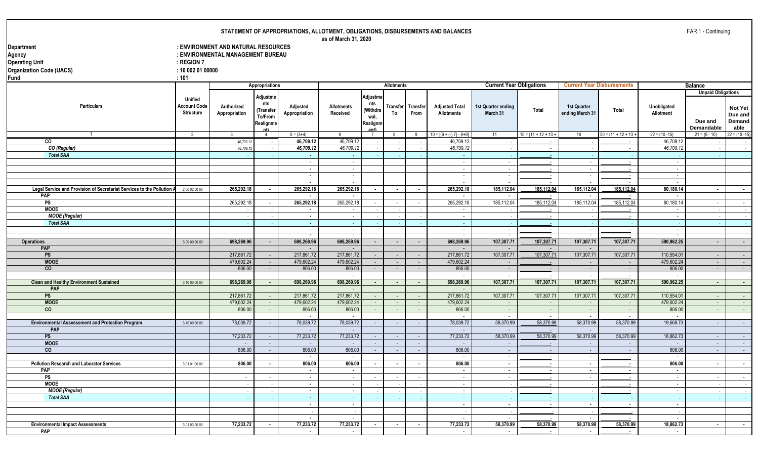**as of March 31, 2020**

| Department                                                                  |                                         | : ENVIRONMENT AND NATURAL RESOURCES |                       |                                        |                   |                |                 |                 |                                                      |                                       |                          |                      |                                   |                                       |                           |                  |
|-----------------------------------------------------------------------------|-----------------------------------------|-------------------------------------|-----------------------|----------------------------------------|-------------------|----------------|-----------------|-----------------|------------------------------------------------------|---------------------------------------|--------------------------|----------------------|-----------------------------------|---------------------------------------|---------------------------|------------------|
| Agency                                                                      |                                         | : ENVIRONMENTAL MANAGEMENT BUREAU   |                       |                                        |                   |                |                 |                 |                                                      |                                       |                          |                      |                                   |                                       |                           |                  |
| <b>Operating Unit</b>                                                       | $:$ REGION 7                            |                                     |                       |                                        |                   |                |                 |                 |                                                      |                                       |                          |                      |                                   |                                       |                           |                  |
| <b>Organization Code (UACS)</b>                                             | : 10 002 01 00000                       |                                     |                       |                                        |                   |                |                 |                 |                                                      |                                       |                          |                      |                                   |                                       |                           |                  |
| <b>Fund</b>                                                                 | : 101                                   |                                     |                       |                                        |                   |                |                 |                 |                                                      |                                       |                          |                      |                                   |                                       |                           |                  |
|                                                                             |                                         |                                     | <b>Appropriations</b> |                                        |                   |                |                 |                 |                                                      |                                       |                          |                      |                                   |                                       |                           |                  |
|                                                                             |                                         |                                     |                       |                                        |                   |                | Allotments      |                 |                                                      | <b>Current Year Obligations</b>       |                          |                      | <b>Current Year Disbursements</b> |                                       | <b>Balance</b>            |                  |
|                                                                             |                                         |                                     | Adjustme              |                                        |                   | Adjustme       |                 |                 |                                                      |                                       |                          |                      |                                   |                                       | <b>Unpaid Obligations</b> |                  |
|                                                                             | <b>Unified</b>                          |                                     | nts                   |                                        |                   | nts            |                 |                 |                                                      |                                       |                          |                      |                                   |                                       |                           |                  |
| <b>Particulars</b>                                                          | <b>Account Code</b><br><b>Structure</b> | Authorized                          | (Transfer             | Adjusted                               | <b>Allotments</b> | (Withdra       | <b>Transfer</b> | <b>Transfer</b> | <b>Adjusted Total</b>                                | <b>Ist Quarter ending</b><br>March 31 | Total                    | <b>1st Quarter</b>   | Total                             | Unobligated                           |                           | Not Yet          |
|                                                                             |                                         | Appropriation                       | To/From               | Appropriation                          | Received          | wal.           | To              | From            | <b>Allotments</b>                                    |                                       |                          | ending March 31      |                                   | Allotment                             |                           | Due and          |
|                                                                             |                                         |                                     | Realignme             |                                        |                   | Realignm       |                 |                 |                                                      |                                       |                          |                      |                                   |                                       | Due and                   | Demand           |
|                                                                             |                                         |                                     | nt)                   |                                        |                   |                |                 |                 |                                                      |                                       |                          |                      |                                   |                                       | Demandable                | able             |
|                                                                             | $\overline{2}$                          | $\mathbf{3}$                        | $\overline{4}$        | $5 = (3+4)$                            | . რ               | $\overline{7}$ | 8               | 9               | $10 = \left[\left\{6 + (-) 7\right\} - 8 + 9\right]$ | 11                                    | $15 = (11 + 12 + 13 +$   | 16                   | $20 = (11 + 12 + 13 +$            | $22 = (10 - 15)$                      | $21 = (5 - 10)$           | $22 = (10 - 15)$ |
| CO                                                                          |                                         | 46,709.12                           |                       | 46,709.12                              | 46,709.12         |                |                 |                 | 46,709.12                                            |                                       |                          |                      |                                   | 46,709.12                             |                           | $\sim 10^{-11}$  |
| CO (Regular)                                                                |                                         | 46.709.1                            |                       | 46,709.12                              | 46,709.12         |                |                 |                 | 46,709.12                                            | $\sim$                                | $\sim$                   |                      |                                   | 46,709.12                             |                           | $\sim 10^{-1}$   |
| <b>Total SAA</b>                                                            |                                         |                                     |                       | $\sim$                                 | $\sim$            |                |                 |                 | $\sim$                                               |                                       | $\sim$                   |                      |                                   |                                       |                           | $\sim 10^{-1}$   |
|                                                                             |                                         |                                     |                       | $\sim$                                 | $\sim$            |                |                 |                 | $\sim$                                               | $\sim$                                | $\sim$                   | $\sim$               |                                   | $\sim$                                |                           |                  |
|                                                                             |                                         |                                     |                       | $\sim$                                 | $\sim$            |                |                 |                 | $\sim$                                               | $\sim$                                | $\sim$                   | $\sim$               |                                   | $\blacksquare$                        |                           |                  |
|                                                                             |                                         |                                     |                       | $\sim$                                 | $\sim$            |                |                 |                 | $\mathcal{L}$                                        | $\mathbb{L}$                          | $\overline{\phantom{a}}$ | $\blacksquare$       |                                   | $\mathbb{L}$                          |                           |                  |
|                                                                             |                                         |                                     |                       | $\overline{\phantom{a}}$               |                   |                |                 |                 |                                                      | $\overline{\phantom{a}}$              |                          |                      |                                   | $\sim$                                |                           |                  |
| Legal Service and Provision of Secretariat Services to the Pollution<br>PAP | 200020000                               | 265,292.18                          | $\sim$                | 265,292.18<br>$\overline{\phantom{a}}$ | 265,292.18        | $\sim$         | $\sim$          | $\sim$          | 265,292.18<br>$\sim$                                 | 185,112.04<br>$\sim$                  | 185,112.04               | 185,112.04<br>$\sim$ | 185,112.04                        | 80,180.14<br>$\overline{\phantom{a}}$ | $\sim$                    | $\sim 10$        |
| PS                                                                          |                                         | 265,292.18                          |                       | 265,292.18                             | 265,292.18        |                |                 |                 | 265,292.18                                           | 185,112.04                            | 185.112.04               | 185,112.04           | 185.112.04                        | 80,180.14                             |                           |                  |
| <b>MOOE</b>                                                                 |                                         |                                     | $\sim$                |                                        |                   |                | $\sim$          | $\sim$          |                                                      |                                       |                          |                      |                                   |                                       | $\sim$                    | $\sim 100$       |
| <b>MOOE</b> (Regular)                                                       |                                         |                                     |                       | $\blacksquare$<br>$\sim$               |                   |                |                 |                 | $\blacksquare$<br>$\sim$                             | . .                                   | $\sim$                   |                      |                                   | $\sim$<br>$\sim$                      |                           | $\sim$           |
| <b>Total SAA</b>                                                            |                                         |                                     |                       | $\sim$                                 | $\sim$<br>$\sim$  |                |                 |                 | $\sim$                                               |                                       |                          |                      |                                   |                                       |                           | $\sim 10^{-1}$   |
|                                                                             |                                         |                                     |                       | $\sim$                                 | $\sim$            |                |                 |                 | $\sim$                                               | $\sim$                                | - 11                     | $\sim$               |                                   | $\sim$                                |                           | $\sim$ $\sim$    |
|                                                                             |                                         |                                     |                       | $\sim$                                 |                   |                |                 |                 | $\sim$                                               | $\sim$                                |                          |                      |                                   | $\sim$                                |                           |                  |
| <b>Operations</b>                                                           | 3 00 00 00 00                           | 698,269.96                          | $\sim$                | 698,269.96                             | 698,269.96        | $\sim$         | $\sim$          | $\blacksquare$  | 698,269.96                                           | 107,307.71                            | 107,307.71               | 107,307.71           | 107,307.71                        | 590,962.25                            | $\blacksquare$            | $\sim$           |
| <b>PAP</b>                                                                  |                                         |                                     |                       |                                        |                   |                |                 |                 |                                                      |                                       |                          |                      |                                   |                                       |                           |                  |
| PS                                                                          |                                         | 217,861.72                          | $\sim$                | 217,861.72                             | 217,861.72        | $\sim$         | $\sim$          | $\sim$          | 217,861.72                                           | 107,307.71                            | 107,307.71               | 107,307.71           | 107,307.71                        | 110,554.01                            | $\sim 10^{-1}$            | $\sim 10$        |
| <b>MOOE</b>                                                                 |                                         | 479,602.24                          | $\sim$                | 479,602.24                             | 479,602.24        | $\sim$         | $\sim$          | $\sim$          | 479,602.24                                           | $\sim$                                |                          | $\sim$               | $\sim$                            | 479,602.24                            | $\sim$                    | $\sim$ $-$       |
| $\overline{c}$                                                              |                                         | 806.00                              | $\sim$                | 806.00                                 | 806.00            | $\sim$         | $\sim$          | $\sim$          | 806.00                                               | $\sim$                                | $\sim$                   | $\sim$               | $\sim$                            | 806.00                                | $\sim$                    | $\sim$ $-$       |
|                                                                             |                                         |                                     |                       | $\sim$                                 | $\sim$            |                |                 |                 | $\sim$                                               | $\sim$                                |                          | $\sim$               | $\sim$                            | $\sim$                                |                           |                  |
| <b>Clean and Healthy Environment Sustained</b>                              | 3 10 00 00 00                           | 698,269.96                          | $\sim$                | 698,269.96                             | 698,269.96        | $\blacksquare$ | $\sim$          | $\sim$          | 698,269.96                                           | 107,307.71                            | 107,307.71               | 107,307.71           | 107,307.71                        | 590,962.25                            | $\sim$                    | $\sim$ 10 $\pm$  |
| PAP                                                                         |                                         |                                     |                       |                                        |                   |                |                 |                 |                                                      |                                       |                          |                      |                                   |                                       |                           |                  |
| PS                                                                          |                                         | 217,861.72                          | $\sim$                | 217,861.72                             | 217,861.72        | $\sim$         | $\sim$          | $\sim$          | 217,861.72                                           | 107,307.71                            | 107,307.71               | 107,307.71           | 107,307.71                        | 110,554.01                            | $\sim$                    | $\sim 10^{-1}$   |
| <b>MOOE</b>                                                                 |                                         | 479,602.24                          | $\sim 10^{-1}$        | 479,602.24                             | 479,602.24        | $\sim$         | $\sim$          | $\sim$          | 479,602.24                                           | $\sim$                                | $\sim$                   | $\sim$               | $\sim$                            | 479.602.24                            | $\sim$                    | $\sim 10^{-10}$  |
| $\overline{c}$                                                              |                                         | 806.00                              | $\sim$                | 806.00                                 | 806.00            | $\sim$         | $\sim$          | $\sim$          | 806.00                                               | $\sim$                                | $\sim$                   | $\sim$               | $\sim$                            | 806.00                                | $\sim$                    | $\sim 10^{-1}$   |
|                                                                             |                                         |                                     |                       |                                        |                   |                |                 |                 | $\sim$                                               | $\sim$                                |                          | $\sim$               |                                   |                                       |                           |                  |
| <b>Environmental Assessement and Protection Program</b>                     | 3 10 00 00 00                           | 78,039.72                           | $\sim$                | 78,039.72                              | 78,039.72         | $\sim$         | $\sim$          | $\sim$          | 78,039.72                                            | 58,370.99                             | 58,370.99                | 58,370.99            | 58,370.99                         | 19,668.73                             | $\sim$                    | $\sim 10^{-1}$   |
| <b>PAP</b>                                                                  |                                         |                                     |                       |                                        |                   |                |                 |                 | $\sim$                                               | $\sim$                                |                          | $\sim$               |                                   |                                       |                           |                  |
| PS                                                                          |                                         | 77,233.72                           | $\sim$                | 77,233.72                              | 77,233.72         |                | $\sim$          | $\sim$          | 77,233.72                                            | 58,370.99                             | 58,370.99                | 58,370.99            | 58,370.99                         | 18,862.73                             | $\sim$                    | $\sim 10^{-11}$  |
| <b>MOOE</b>                                                                 |                                         | $\sim$                              | $\sim$                | $\sim$                                 | $\sim$            | $\sim$         | $\sim$          | $\sim$          | $\sim$                                               | $\sim$                                | $\sim$                   | $\sim$               | $\sim$                            | $\sim$                                | $\sim$                    | $\sim 10^{-1}$   |
| $\overline{c}$                                                              |                                         | 806.00                              | $\sim$                | 806.00                                 | 806.00            | $\sim$         | $\sim$          | $\sim$          | 806.00                                               | $\sim$                                | - 1                      | $\sim$               | $\sim$                            | 806.00                                | $\sim$                    | $\sim 10^{-1}$   |
|                                                                             |                                         |                                     |                       | $\sim$                                 | $\sim$            |                |                 |                 | $\sim$                                               | $\sim$                                | $\sim$                   | $\sim$ $-$           | $\sim$                            | $\sim$                                |                           |                  |
| <b>Pollution Research and Laborator Services</b>                            | 301010000                               | 806.00                              | $\sim$                | 806.00                                 | 806.00            | $\sim$         | $\sim$          | $\sim$          | 806.00                                               | $\sim$                                | $\sim$                   | $\sim$               | $\sim$                            | 806.00                                | $\sim$                    | $\sim$           |
| <b>PAP</b>                                                                  |                                         |                                     |                       | $\sim$                                 | $\sim$            |                |                 |                 | $\sim$                                               | $\sim$                                | $\sim$                   | $\sim$               | $\sim$                            | $\sim$                                |                           |                  |
| PS                                                                          |                                         | $\sim$                              | $\sim$                | $\sim$                                 | $\sim$            |                | $\sim$          | $\sim$          | $\sim$                                               | $\sim$                                | $\overline{\phantom{a}}$ | $\sim$               |                                   | $\sim$                                | $\sim$                    | $\sim$           |
| <b>MOOE</b>                                                                 |                                         |                                     |                       | $\sim$                                 | $\sim$            |                |                 |                 | $\sim$                                               |                                       | $\sim$                   |                      |                                   | $\sim$                                |                           | $\sim$           |
| <b>MOOE</b> (Regular)                                                       |                                         |                                     |                       | $\sim$                                 | $\sim$            |                |                 |                 | $\sim$                                               | $\overline{\phantom{a}}$              | $\sim$                   |                      | $\sim$                            | $\sim$                                |                           | $\sim 100$       |
| <b>Total SAA</b>                                                            |                                         |                                     |                       | $\sim$                                 | $\omega$          |                |                 |                 | $\sim$                                               |                                       |                          |                      |                                   |                                       |                           | $\sim 10^{-1}$   |
|                                                                             |                                         |                                     |                       | $\sim$                                 | $\sim$            |                |                 |                 | $\sim$                                               | $\sim$                                | $\sim$                   | $\sim$               | $\sim$                            | $\sim$                                |                           |                  |
|                                                                             |                                         |                                     |                       |                                        |                   |                |                 |                 |                                                      |                                       |                          |                      |                                   |                                       |                           |                  |
|                                                                             |                                         |                                     |                       | $\overline{\phantom{a}}$               |                   |                |                 |                 | $\sim$                                               | $\sim$                                |                          | $\sim$               |                                   | $\sim$                                |                           |                  |
| <b>Environmental Impact Assessments</b>                                     | 301030000                               | 77,233.72                           | $\sim$                | 77,233.72                              | 77,233.72         | $\sim$         | $\sim$          | $\sim$          | 77,233.72                                            | 58,370.99                             | 58,370.99                | 58,370.99            | 58,370.99                         | 18,862.73                             | $\sim$                    | $\sim$           |
| <b>PAP</b>                                                                  |                                         |                                     |                       |                                        | $\blacksquare$    |                |                 |                 | $\blacksquare$                                       |                                       | $\blacksquare$           | $\blacksquare$       |                                   | $\blacksquare$                        |                           |                  |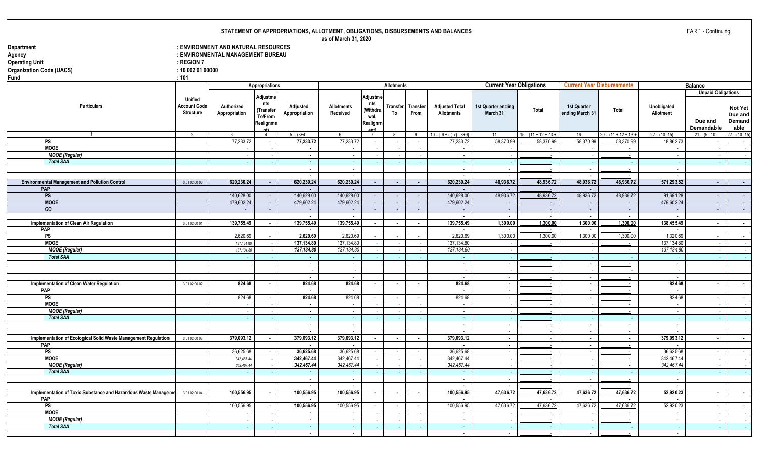**Implementation of Toxic Substance and Hazardous Waste Management 3 01 02 00 04** 100,556.95 100,556.95 100,556.95 100,556.95 100,556.95 100,556.95 100,556.95 47,636.72 47,636.72 47,636.72 47,636.72 47,638.72 52,920.23 - -

**PS** 100,556.95 - 100,556.95 - 100,556.95 100,556.95 - - - 100,556.95 - 1 - 100,556.95 - - 1 - 100,556.95 - - - 1 - 100,556.95 - 1 - 100,556.95 - 1 - 100,556.95 - - 1 - 100,556.95 - 1 - 1 - 100,556.95 - 1 - 100,556.95 - 1 **MOOE** - - **-** - - - - - - - - - - - -  *MOOE (Regular) - - - - - - - - - - - - - - - Total SAA - - - - - - - - - - - - - - -*

- - - - - - - -

**PAP - - - - - - - -**

|                                                                |                                       |                                     |                                   |                                        | as of March 31, 2020          |                        |                          |                          | <b>STATEMENT OF AFFROFRIATIONS, ALLOTMENT, OBLIGATIONS, DISDONSEMENTS AND BALANCES</b> |                                 |                          |                                       |                                   |                              | $1$ AIN $1$ - Continuing      |                             |
|----------------------------------------------------------------|---------------------------------------|-------------------------------------|-----------------------------------|----------------------------------------|-------------------------------|------------------------|--------------------------|--------------------------|----------------------------------------------------------------------------------------|---------------------------------|--------------------------|---------------------------------------|-----------------------------------|------------------------------|-------------------------------|-----------------------------|
| Department                                                     |                                       | : ENVIRONMENT AND NATURAL RESOURCES |                                   |                                        |                               |                        |                          |                          |                                                                                        |                                 |                          |                                       |                                   |                              |                               |                             |
| Agency                                                         |                                       | : ENVIRONMENTAL MANAGEMENT BUREAU   |                                   |                                        |                               |                        |                          |                          |                                                                                        |                                 |                          |                                       |                                   |                              |                               |                             |
| <b>Operating Unit</b>                                          | $:$ REGION 7                          |                                     |                                   |                                        |                               |                        |                          |                          |                                                                                        |                                 |                          |                                       |                                   |                              |                               |                             |
|                                                                |                                       |                                     |                                   |                                        |                               |                        |                          |                          |                                                                                        |                                 |                          |                                       |                                   |                              |                               |                             |
| <b>Organization Code (UACS)</b>                                | : 100020100000                        |                                     |                                   |                                        |                               |                        |                          |                          |                                                                                        |                                 |                          |                                       |                                   |                              |                               |                             |
| Fund                                                           | : 101                                 |                                     |                                   |                                        |                               |                        |                          |                          |                                                                                        |                                 |                          |                                       |                                   |                              |                               |                             |
|                                                                |                                       |                                     | Appropriations                    |                                        |                               |                        | <b>Allotments</b>        |                          |                                                                                        | <b>Current Year Obligations</b> |                          |                                       | <b>Current Year Disbursements</b> |                              | <b>Balance</b>                |                             |
|                                                                |                                       |                                     | Adjustme                          |                                        |                               | Adjustme               |                          |                          |                                                                                        |                                 |                          |                                       |                                   |                              | <b>Unpaid Obligations</b>     |                             |
| <b>Particulars</b>                                             | <b>Unified</b><br><b>Account Code</b> |                                     | nts                               |                                        |                               | nts                    |                          |                          |                                                                                        |                                 |                          |                                       |                                   |                              |                               |                             |
|                                                                | <b>Structure</b>                      | Authorized<br>Appropriation         | Transfer)                         | Adjusted<br>Appropriation              | <b>Allotments</b><br>Received | (Withdra               | Transfer<br>To           | Transfer<br>From         | <b>Adjusted Total</b><br><b>Allotments</b>                                             | 1st Quarter ending<br>March 31  | Total                    | <b>1st Quarter</b><br>ending March 31 | Total                             | Unobligated<br>Allotment     |                               | Not Yet                     |
|                                                                |                                       |                                     | To/From                           |                                        |                               | wal,                   |                          |                          |                                                                                        |                                 |                          |                                       |                                   |                              |                               | Due and                     |
|                                                                |                                       |                                     | Realignme                         |                                        |                               | Realignm               |                          |                          |                                                                                        |                                 |                          |                                       |                                   |                              | Due and                       | Demand                      |
|                                                                | 2                                     | $\mathbf{3}$                        | n <sup>th</sup><br>$\overline{4}$ | $5 = (3+4)$                            | -6                            | Ant)<br>$\overline{7}$ | 8                        | 9                        | $10 = \left[\left\{6 + (-) 7\right\} - 8 + 9\right]$                                   | 11                              | $15 = (11 + 12 + 13 +$   | 16                                    | $20 = (11 + 12 + 13 +$            | $22 = (10 - 15)$             | Demandable<br>$21 = (5 - 10)$ | able<br>$22 = (10 - 15)$    |
| <b>PS</b>                                                      |                                       | 77,233.72                           | $\sim$                            | 77,233.72                              | 77,233.72                     | $\sim$                 | $\sim$                   | $\sim$                   | 77,233.72                                                                              | 58,370.99                       | 58,370.99                | 58,370.99                             | 58,370.99                         | 18,862.73                    | $\sim$                        |                             |
| <b>MOOE</b>                                                    |                                       |                                     |                                   | $\sim$                                 | $\sim$                        |                        |                          |                          | $\sim$                                                                                 |                                 | $\sim$                   |                                       | $\sim$                            | $\sim$                       |                               | $\sim$ $-$                  |
| <b>MOOE</b> (Regular)                                          |                                       |                                     |                                   | $\overline{\phantom{a}}$               | $\mathcal{L}_{\mathcal{A}}$   |                        |                          |                          | $\sim$                                                                                 |                                 |                          |                                       |                                   | $\sim$                       |                               | $\sim$ $\sim$               |
| <b>Total SAA</b>                                               |                                       |                                     |                                   | $\sim$                                 | $\sim$                        |                        |                          |                          | $\sim$                                                                                 |                                 |                          |                                       |                                   |                              |                               | $\sim$<br>$\sim 10$         |
|                                                                |                                       |                                     |                                   | $\sim$                                 | $\sim$                        |                        |                          |                          | $\sim$                                                                                 | $\sim$                          | $\sim$                   | $\sim$                                | $\sim$                            | $\sim$                       |                               |                             |
|                                                                |                                       |                                     |                                   | $\sim$                                 | $\sim$                        |                        |                          |                          | $\sim$                                                                                 | $\sim$                          |                          | $\sim$                                |                                   | $\sim$                       |                               |                             |
| <b>Environmental Management and Pollution Control</b>          | 3 01 02 00 00                         | 620,230.24                          | $\sim$                            | 620,230.24                             | 620,230.24                    | $\sim$                 | $\sim$                   | $\sim$                   | 620,230.24                                                                             | 48,936.72                       | 48,936.72                | 48,936.72                             | 48,936.72                         | 571,293.52                   | $\sim$                        | $\sim$                      |
| PAP                                                            |                                       |                                     |                                   | $\overline{\phantom{a}}$               |                               |                        |                          |                          | $\overline{\phantom{a}}$                                                               | $\sim$                          |                          | $\sim$                                |                                   |                              |                               |                             |
| PS                                                             |                                       | 140,628.00                          | $\sim$                            | 140,628.00                             | 140,628.00                    | $\sim$                 | $\sim$                   | $\sim$                   | 140.628.00                                                                             | 48,936.72                       | 48.936.72                | 48,936.72                             | 48,936.72                         | 91,691.28                    | $\sim$                        | $\sim 10^{-10}$             |
| <b>MOOE</b>                                                    |                                       | 479,602.24                          | $\sim$                            | 479,602.24                             | 479,602.24                    | $\sim$                 | $\sim$                   | $\sim$                   | 479,602.24                                                                             | $\sim$                          |                          | $\sim$                                | $\sim$                            | 479,602.24                   | $\sim$                        | $\sim 10^{-1}$              |
| $\overline{c}$                                                 |                                       | $\sim$                              | $\sim$                            | $\sim$                                 | $\sim$                        | $\sim$                 | $\sim$                   | $\sim$                   |                                                                                        | $\sim$                          |                          | $\sim$                                | $\sim$                            | $\sim$                       | $\sim$                        | $\sim$                      |
|                                                                |                                       |                                     |                                   | $\sim$                                 | $\blacksquare$                |                        |                          |                          | $\sim$                                                                                 | $\sim$                          | $\sim$                   | $\sim$                                | $\sim$                            | $\sim$                       |                               |                             |
| Implementation of Clean Air Regulation                         | 3 01 02 00 01                         | 139,755.49                          | $\blacksquare$                    | 139,755.49                             | 139,755.49                    | $\sim$                 | $\blacksquare$           | $\sim$                   | 139,755.49                                                                             | 1,300.00                        | 1.300.00                 | 1,300.00                              | 1,300.00                          | 138,455.49                   | $\blacksquare$                | $\sim$ $-$                  |
| <b>PAP</b>                                                     |                                       |                                     |                                   | $\overline{\phantom{a}}$               | $\blacksquare$                |                        |                          |                          | $\sim$                                                                                 | $\overline{\phantom{a}}$        | $\overline{\phantom{a}}$ | $\overline{\phantom{a}}$              | $\sim$                            | $\blacksquare$               |                               |                             |
| <b>PS</b>                                                      |                                       | 2,620.69                            |                                   | 2,620.69                               | 2,620.69                      | $\sim$                 | $\sim$                   | $\sim$                   | 2,620.69                                                                               | 1,300.00                        | 1,300.00                 | 1,300.00                              | 1,300.00                          | 1,320.69                     | $\sim$                        | $\sim$ $-$                  |
| <b>MOOE</b>                                                    |                                       | 137,134.80                          |                                   | 137,134.80                             | 137,134.80                    |                        |                          |                          | 137.134.80                                                                             |                                 |                          |                                       |                                   | 137,134.80                   | $\sim$                        | $\sim$                      |
| <b>MOOE</b> (Regular)                                          |                                       | 137,134.80                          |                                   | 137,134.80                             | 137,134.80                    |                        |                          |                          | 137,134.80                                                                             |                                 |                          |                                       | $\sim$                            | 137,134.80                   |                               | $\sim$ $\sim$               |
| <b>Total SAA</b>                                               |                                       |                                     |                                   | $\sim$                                 | $\sim$                        |                        |                          |                          | $\sim$                                                                                 |                                 | $\sim$                   |                                       |                                   |                              |                               | $\sim 100$                  |
|                                                                |                                       |                                     |                                   | $\sim$                                 | $\sim$                        |                        |                          |                          | $\sim$                                                                                 | $\sim$                          | $\sim$                   | $\sim$                                | $\sim$                            | $\sim$                       |                               |                             |
|                                                                |                                       |                                     |                                   |                                        |                               |                        |                          |                          | $\sim$                                                                                 |                                 |                          |                                       |                                   |                              |                               |                             |
|                                                                |                                       |                                     |                                   | $\sim$                                 | $\sim$                        |                        |                          |                          | $\sim$                                                                                 | $\sim$                          | $\sim$                   | $\sim$                                | $\sim$                            | $\sim$                       |                               |                             |
| Implementation of Clean Water Regulation                       | 3 01 02 00 02                         | 824.68                              |                                   | 824.68                                 | 824.68                        | $\blacksquare$         | $\overline{\phantom{a}}$ | $\overline{\phantom{a}}$ | 824.68                                                                                 | $\sim$                          | $\blacksquare$           | $\sim$                                | $\overline{\phantom{a}}$          | 824.68                       | $\blacksquare$                | $\sim$                      |
| PAP                                                            |                                       |                                     |                                   | $\sim$                                 |                               |                        |                          |                          |                                                                                        | $\blacksquare$                  |                          | $\blacksquare$                        |                                   | $\blacksquare$               |                               |                             |
| PS                                                             |                                       | 824.68                              |                                   | 824.68                                 | 824.68                        | $\sim$                 | $\sim$                   | $\sim$                   | 824.68                                                                                 | $\sim$                          | $\sim$                   | $\sim$                                | $\sim$                            | 824.68                       | $\sim$                        | $\sim$                      |
| <b>MOOE</b>                                                    |                                       |                                     |                                   | $\sim$                                 | $\sim$                        |                        |                          |                          | $\sim$                                                                                 | $\sim$                          | $\sim$                   |                                       | $\sim$                            | $\sim$                       |                               | $\sim 100$                  |
| <b>MOOE</b> (Regular)                                          |                                       |                                     |                                   | $\sim$                                 | $\sim$                        |                        |                          |                          | $\sim$                                                                                 | $\sim$                          | $\sim$                   |                                       | $\sim$                            | $\sim$                       | $\sim$                        | $\sim$ $\sim$               |
| <b>Total SAA</b>                                               |                                       |                                     |                                   | $\sim$                                 | $\sim$                        |                        |                          |                          | $\sim$ $-$                                                                             |                                 |                          |                                       |                                   |                              |                               | $\sim 10^{-1}$              |
|                                                                |                                       |                                     |                                   | $\sim$                                 | $\sim$                        |                        |                          |                          | $\sim$<br>$\sim$                                                                       | $\sim$                          | $\sim$                   | $\sim$                                | $\sim$                            | $\sim$                       |                               |                             |
| Implementation of Ecological Solid Waste Management Regulation |                                       | 379,093.12                          | $\blacksquare$                    | $\overline{\phantom{a}}$<br>379,093.12 | 379,093.12                    | $\blacksquare$         | $\blacksquare$           |                          | 379,093.12                                                                             | $\sim$                          |                          | $\sim$                                |                                   | $\blacksquare$<br>379,093.12 |                               |                             |
| <b>PAP</b>                                                     | 3 01 02 00 03                         |                                     |                                   | $\overline{\phantom{a}}$               | $\overline{\phantom{a}}$      |                        |                          | $\blacksquare$           | $\sim$                                                                                 | $\sim$<br>$\sim$                | $\overline{\phantom{a}}$ | $\blacksquare$<br>$\sim$              | $\sim$                            | $\blacksquare$               | $\blacksquare$                | $\sim$                      |
| PS                                                             |                                       | 36,625.68                           |                                   | 36,625.68                              | 36,625.68                     | $\sim$                 | $\sim$                   | $\sim$                   | 36.625.68                                                                              | $\sim$                          | $\sim$                   | $\sim$                                | $\sim$                            | 36,625.68                    | $\sim$                        | $\sim 10^{-11}$             |
| <b>MOOE</b>                                                    |                                       | 342.467.44                          |                                   | 342.467.44                             | 342.467.44                    |                        |                          |                          | 342.467.44                                                                             | $\sim$                          | $\sim$                   |                                       | $\sim$                            | 342.467.44                   |                               |                             |
| <b>MOOE</b> (Regular)                                          |                                       | 342,467.44                          |                                   | 342,467.44                             | 342,467.44                    |                        |                          |                          | 342,467.44                                                                             |                                 | $\sim$                   |                                       |                                   | 342,467.44                   |                               | $\sim 100$<br>$\sim$ $\sim$ |
| <b>Total SAA</b>                                               |                                       |                                     |                                   | $\sim$                                 | $\sim$                        |                        |                          |                          | $\sim$                                                                                 |                                 |                          |                                       |                                   |                              |                               |                             |
|                                                                |                                       |                                     |                                   | $\sim$                                 | $\sim$                        |                        |                          |                          | $\sim$                                                                                 | $\sim$                          |                          | $\sim$                                |                                   | $\sim$                       |                               | $\sim$ $\sigma$ .           |
|                                                                |                                       |                                     |                                   | $\sim$                                 | $\sim$                        |                        |                          |                          | $\sim$                                                                                 | $\sim$                          | $\sim$                   | $\sim$                                | $\sim$                            | $\sim$                       |                               |                             |
|                                                                |                                       |                                     |                                   |                                        |                               |                        |                          |                          |                                                                                        |                                 |                          |                                       |                                   |                              |                               |                             |

FAR 1 - Continuing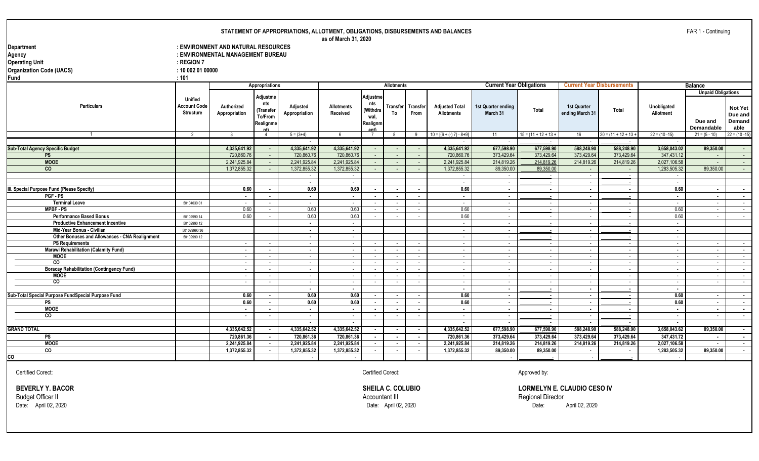**as of March 31, 2020**

| Department                      | : ENVIRONMENT AND NATURAL RESOURCES |  |
|---------------------------------|-------------------------------------|--|
| Agency                          | : ENVIRONMENTAL MANAGEMENT BUREAU   |  |
| <b>Operating Unit</b>           | $:$ REGION 7                        |  |
| <b>Organization Code (UACS)</b> | : 100020100000                      |  |
| lFund                           | :101                                |  |
|                                 | Appropriations                      |  |
|                                 |                                     |  |

|                                                    |                                                           |                             | Appropriations                                       |                           |                               |                                                 | <b>Allotments</b>        |                           |                                                      | <b>Current Year Obligations</b> |                          | <b>Current Year Disbursements</b> |                          |                          | <b>Balance</b>                                            |                                             |
|----------------------------------------------------|-----------------------------------------------------------|-----------------------------|------------------------------------------------------|---------------------------|-------------------------------|-------------------------------------------------|--------------------------|---------------------------|------------------------------------------------------|---------------------------------|--------------------------|-----------------------------------|--------------------------|--------------------------|-----------------------------------------------------------|---------------------------------------------|
| <b>Particulars</b>                                 | <b>Unified</b><br><b>Account Code</b><br><b>Structure</b> | Authorized<br>Appropriation | Adjustme<br>nts<br>(Transfer<br>To/From<br>Realignme | Adjusted<br>Appropriation | <b>Allotments</b><br>Received | Adjustme<br>nts<br>(Withdra<br>wal,<br>Realignm | To                       | Transfer Transfer<br>From | <b>Adjusted Total</b><br><b>Allotments</b>           | 1st Quarter ending<br>March 31  | Total                    | 1st Quarter<br>ending March 31    | Total                    | Unobligated<br>Allotment | <b>Unpaid Obligations</b><br>Due and<br><b>Demandable</b> | <b>Not Yet</b><br>Due and<br>Demand<br>able |
| $\overline{1}$                                     | $\overline{2}$                                            | $\mathbf{3}$                |                                                      | $5 = (3+4)$               | 6                             | $\overline{7}$                                  | -8                       | 9                         | $10 = \left[\left\{6 + (-) 7\right\} - 8 + 9\right]$ | 11                              | $15 = (11 + 12 + 13 +$   | 16                                | $20 = (11 + 12 + 13 +$   | $22 = (10 - 15)$         | $21 = (5 - 10)$                                           | $22 = (10 - 15)$                            |
|                                                    |                                                           |                             |                                                      |                           |                               |                                                 |                          |                           |                                                      |                                 |                          |                                   |                          |                          |                                                           |                                             |
| <b>Sub-Total Agency Specific Budget</b>            |                                                           | 4,335,641.92                | $\sim$                                               | 4,335,641.92              | 4,335,641.92                  |                                                 |                          | $\sim$                    | 4,335,641.92                                         | 677,598.90                      | 677,598.90               | 588,248.90                        | 588,248.90               | 3,658,043.02             | 89,350.00                                                 | $\sim$                                      |
| <b>PS</b>                                          |                                                           | 720,860.76                  | $\sim$                                               | 720,860.76                | 720.860.7                     |                                                 | $\sim$                   | $\sim$                    | 720,860.76                                           | 373.429.64                      | 373,429.64               | 373.429.64                        | 373.429.64               | 347.431.12               | $\sim$                                                    | $\sim 100$                                  |
| <b>MOOE</b>                                        |                                                           | 2,241,925.84                | $\sim$                                               | 2,241,925.84              | 2,241,925.84                  |                                                 |                          |                           | 2,241,925.84                                         | 214,819.26                      | 214,819.26               | 214,819.26                        | 214,819.26               | 2,027,106.58             | $\sim$                                                    | $\sim 100$                                  |
| co                                                 |                                                           | 1,372,855.32                |                                                      | 1.372.855.32              | 1,372,855.32                  |                                                 |                          |                           | 1,372,855.32                                         | 89.350.00                       | 89,350.00                |                                   |                          | 1.283.505.32             | 89.350.00                                                 | $\sim$                                      |
|                                                    |                                                           |                             |                                                      | $\sim$ $-$                |                               |                                                 |                          |                           |                                                      | $\sim$ $-$                      |                          | $\sim$                            |                          | $\sim$                   |                                                           |                                             |
|                                                    |                                                           |                             |                                                      | $\sim$                    |                               |                                                 |                          |                           |                                                      | $\sim$                          |                          | $\sim$                            |                          |                          |                                                           |                                             |
| III. Special Purpose Fund (Please Specify)         |                                                           | 0.60                        | $\sim$                                               | 0.60                      | 0.60                          |                                                 |                          | $\sim$                    | 0.60                                                 | $\sim$                          | $\sim$                   | $\sim$                            | $\sim$                   | 0.60                     | $\sim$                                                    | $\sim$                                      |
| PGF-PS                                             |                                                           |                             | $\sim$                                               | $\sim$                    | $\blacksquare$                | $\blacksquare$                                  | $\overline{\phantom{a}}$ | $\sim$                    | $\sim$                                               | $\sim$                          | $\sim$                   | $\sim$                            | $\sim$                   | $\sim$                   | $\sim$                                                    | $\sim$ 100 $\mu$                            |
| <b>Terminal Leave</b>                              | 50104030 01                                               |                             | $\sim$                                               | $\sim$ $-$                |                               |                                                 |                          |                           |                                                      | $\sim$                          | $\sim$                   | $\sim$                            | $\overline{\phantom{a}}$ | $\sim$                   | $\sim$                                                    | $\sim$                                      |
| <b>MPBF-PS</b>                                     |                                                           | 0.60                        |                                                      | 0.60                      | 0.60                          |                                                 |                          |                           | 0.60                                                 | $\sim$                          | $\sim$                   | $\sim$                            |                          | 0.60                     | $\sim$                                                    | $\sim$                                      |
| <b>Performance Based Bonus</b>                     | 50102990 14                                               | 0.60                        |                                                      | 0.60                      | 0.60                          |                                                 |                          | $\sim$                    | 0.60                                                 | $\sim$ $-$                      | $\sim$                   | $\sim$                            | $\sim$                   | 0.60                     | $\sim$                                                    | $\sim$                                      |
| <b>Productive Enhancement Incentive</b>            | 50102990 12                                               |                             |                                                      | $\sim$                    | ۰.                            |                                                 |                          |                           | $\sim$                                               | $\sim$ $-$                      | $\sim$                   | $\sim$                            | $\sim$                   | $\sim$                   |                                                           |                                             |
| Mid-Year Bonus - Civilian                          | 50102999036                                               |                             |                                                      | $\sim$                    |                               |                                                 |                          |                           | $\sim$                                               | $\sim$                          | $\overline{\phantom{a}}$ | $\sim$                            | $\overline{\phantom{a}}$ | $\sim$                   |                                                           |                                             |
| Other Bonuses and Allowances - CNA Realignment     | 50102990 12                                               |                             |                                                      | $\sim$                    | $\sim$                        |                                                 |                          |                           | $\sim$                                               | $\sim$ $-$                      | $\sim$                   | $\sim$                            | $\sim$                   | $\sim$                   |                                                           |                                             |
| <b>PS Requirements</b>                             |                                                           |                             | $\sim$                                               | $\sim$                    | $\sim$                        |                                                 |                          | $\sim$                    | $\sim$                                               | $\sim$ $-$                      | $\sim$                   | $\sim$                            | $\sim$                   | $\sim$                   | $\sim$                                                    | $\sim$ 10 $\pm$                             |
| <b>Marawi Rehabilitation (Calamity Fund)</b>       |                                                           |                             | $\sim$                                               | $\sim$                    |                               |                                                 |                          | $\sim$                    | $\sim$                                               | $\sim$                          | $\sim$                   | $\sim$                            | $\sim$                   | $\sim$                   | $\sim$                                                    | $\sim$                                      |
| <b>MOOE</b>                                        |                                                           |                             | $\sim$                                               | $\sim$                    |                               |                                                 |                          |                           |                                                      | $\sim$ $-$                      | $\sim$                   | $\sim$                            | $\overline{\phantom{a}}$ | $\sim$                   | $\sim$                                                    | $\sim$                                      |
| $\overline{c}$                                     |                                                           |                             | $\sim$                                               | $\sim$                    | $\sim$                        |                                                 |                          | $\sim$                    | $\sim$                                               | $\sim$                          | $\sim$                   | $\sim$                            | $\sim$                   | $\sim$                   | $\sim$                                                    | <b>Service</b>                              |
| <b>Boracay Rehabilitation (Contingency Fund)</b>   |                                                           |                             | $\sim$                                               | $\sim$                    | $\overline{\phantom{a}}$      |                                                 |                          | $\sim$                    | $\sim$                                               | $\sim$ $-$                      | $\sim$                   | $\sim$                            | $\sim$                   | $\sim$                   | $\sim$                                                    | $\sim 100$                                  |
| <b>MOOE</b>                                        |                                                           |                             | $\sim$                                               | $\sim$                    | $\sim$                        |                                                 |                          | $\sim$                    | $\sim$                                               | $\sim$ $-$                      | $\sim$                   | $\sim$                            | $\sim$                   | $\sim$                   | $\sim$                                                    | $\sim 100$                                  |
| $\overline{c}$                                     |                                                           |                             | $\sim$                                               | $\sim$ $-$                |                               |                                                 |                          |                           |                                                      | $\sim$ $-$                      | $\overline{\phantom{a}}$ | $\sim$                            | $\overline{\phantom{a}}$ | $\sim$                   | $\sim$                                                    | $\sim$                                      |
|                                                    |                                                           |                             |                                                      | $\sim$                    | $\overline{\phantom{a}}$      |                                                 |                          |                           | $\sim$                                               | $\sim$                          | $\blacksquare$           | $\overline{\phantom{a}}$          | $\overline{\phantom{a}}$ | $\sim$                   |                                                           |                                             |
| Sub-Total Special Purpose FundSpecial Purpose Fund |                                                           | 0.60                        | $\sim$                                               | 0.60                      | 0.60                          |                                                 | $\sim$                   | $\sim$                    | 0.60                                                 | $\sim$                          | $\blacksquare$           | $\sim$                            | $\sim$                   | 0.60                     | $\sim$                                                    | $\sim$ 100 $\mu$                            |
| PS                                                 |                                                           | 0.60                        | $\sim$                                               | 0.60                      | 0.60                          |                                                 | $\overline{\phantom{a}}$ | $\sim$                    | 0.60                                                 | $\sim$                          | $\blacksquare$           | $\sim$                            | $\overline{\phantom{a}}$ | 0.60                     | $\sim$                                                    | $\sim$ 100 $\mu$                            |
| <b>MOOE</b>                                        |                                                           |                             | $\sim$                                               | $\sim$                    | $\blacksquare$                |                                                 |                          | $\sim$                    | $\sim$                                               | $\sim$                          | $\blacksquare$           | $\sim$                            | $\overline{\phantom{a}}$ | $\sim$                   | $\sim$                                                    | $\sim$ 100 $\mu$                            |
| CO                                                 |                                                           | $\overline{\phantom{a}}$    | $\sim$                                               | $\sim$                    | $\sim$                        | $\blacksquare$                                  | $\sim$                   | $\sim$                    | $\sim$                                               | $\sim$                          | $\blacksquare$           | $\sim$                            | $\sim$                   | $\sim$                   | $\sim$                                                    | $\sim$ 100 $\mu$                            |
|                                                    |                                                           |                             |                                                      | $\sim$                    |                               |                                                 |                          |                           |                                                      | $\sim$                          | . .                      |                                   | $\overline{\phantom{a}}$ | $\sim$                   |                                                           |                                             |
| <b>GRAND TOTAL</b>                                 |                                                           | 4,335,642.52                | $\sim$                                               | 4,335,642.52              | 4,335,642.52                  |                                                 |                          | $\overline{\phantom{a}}$  | 4,335,642.52                                         | 677,598.90                      | 677,598.90               | 588,248.90                        | 588,248.90               | 3,658,043.62             | 89,350.00                                                 | $\sim$                                      |
| PS                                                 |                                                           | 720,861.36                  | $\sim$                                               | 720.861.36                | 720,861.36                    |                                                 |                          | $\sim$                    | 720,861.36                                           | 373,429.64                      | 373,429.64               | 373,429.64                        | 373,429.64               | 347,431.72               | $\blacksquare$                                            | $\sim$                                      |
| <b>MOOE</b>                                        |                                                           | 2,241,925.84                | $\sim$                                               | 2,241,925.84              | 2,241,925.84                  |                                                 | $\overline{\phantom{a}}$ | $\sim$                    | 2,241,925.84                                         | 214,819.26                      | 214,819.26               | 214,819.26                        | 214,819.26               | 2,027,106.58             | $\overline{\phantom{a}}$                                  | $\sim 100$                                  |
| CO                                                 |                                                           | 1,372,855.32                | $\cdot$                                              | 1,372,855.32              | 1,372,855.32                  |                                                 |                          |                           | 1,372,855.32                                         | 89,350.00                       | 89,350.00                |                                   |                          | 1,283,505.32             | 89,350.00                                                 | $\sim$                                      |
| CO                                                 |                                                           |                             |                                                      |                           |                               |                                                 |                          |                           |                                                      |                                 |                          |                                   |                          |                          |                                                           |                                             |

Certified Corect: Certified Corect: Approved by:

Budget Officer II Accountant III Regional Director

**BEVERLY Y. BACOR SHEILA C. COLUBIO SHEILA C. COLUBIO LORMELYN E. CLAUDIO CESO IV**<br> **Budget Officer II** Regional Director Date: April 02, 2020 Date: April 02, 2020 Date: April 02, 2020

**Current Year Obligations**

**Current Year Disbursements**

FAR 1 - Continuing

**Balance**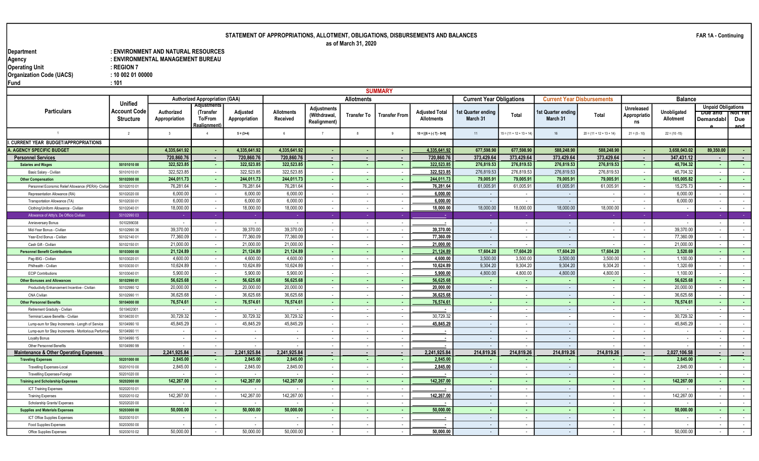as of March 31, 2020

Department : ENVIRONMENT AND NATURAL RESOURCES<br>Agency : ENVIRONMENTAL MANAGEMENT BUREAU Operating Unit The Contract of the Second Second Second 1 and 20 and 20 and 20 and 20 and 20 and 20 and 20 and Organization Code (UACS) : 10 002 01 00000

| und |     |
|-----|-----|
|     | 404 |

: ENVIRONMENTAL MANAGEMENT BUREAU<br>: REGION 7

|                                                               |                                                           |                             |                                                           |                           |                               |                                                   |                    | <b>SUMMARY</b>                  |                                            |                                 |                            |                                   |                                 |                                      |                                 |                                                              |                       |
|---------------------------------------------------------------|-----------------------------------------------------------|-----------------------------|-----------------------------------------------------------|---------------------------|-------------------------------|---------------------------------------------------|--------------------|---------------------------------|--------------------------------------------|---------------------------------|----------------------------|-----------------------------------|---------------------------------|--------------------------------------|---------------------------------|--------------------------------------------------------------|-----------------------|
|                                                               |                                                           |                             | <b>Authorized Appropriation (GAA)</b>                     |                           |                               |                                                   | <b>Allotments</b>  |                                 |                                            | <b>Current Year Obligations</b> |                            | <b>Current Year Disbursements</b> |                                 |                                      | <b>Balance</b>                  |                                                              |                       |
| <b>Particulars</b>                                            | <b>Unified</b><br><b>Account Code</b><br><b>Structure</b> | Authorized<br>Appropriation | <b>Adiustments</b><br>(Transfer<br>To/From<br>Realignment | Adjusted<br>Appropriation | <b>Allotments</b><br>Received | <b>Adjustments</b><br>(Withdrawal,<br>Realignment | <b>Transfer To</b> | Transfer From                   | <b>Adiusted Total</b><br><b>Allotments</b> | st Quarter ending<br>March 31   | Total                      | 1st Quarter ending<br>March 31    | Total                           | Unreleased<br>Appropriatio<br>ns     | Unobligated<br><b>Allotment</b> | <b>Unpaid Obligations</b><br><del>Due and</del><br>Demandabl | πποττετ<br>Due<br>and |
|                                                               | $\overline{2}$                                            | $\overline{\mathbf{3}}$     | $\overline{4}$                                            | $5 = (3+4)$               | 6                             | $\overline{7}$                                    | 8                  | $\overline{9}$                  | $10 = [{6 + (-) 7} - 8 + 9]$               | 11                              | $15 = (11 + 12 + 13 + 14)$ | 16                                | $20 = (11 + 12 + 13 + 14)$      | $21 = (5 - 10)$                      | $22 = (10 - 15)$                |                                                              |                       |
| I. CURRENT YEAR BUDGET/APPROPRIATIONS                         |                                                           |                             |                                                           |                           |                               |                                                   |                    |                                 |                                            |                                 |                            |                                   |                                 |                                      |                                 |                                                              |                       |
| A. AGENCY SPECIFIC BUDGET                                     |                                                           | 4.335.641.92                |                                                           | 4.335.641.92              | 4.335.641.92                  |                                                   | ٠.                 | ۰.                              | 4,335,641.92                               | 677,598.90                      | 677,598.90                 | 588.248.90                        | 588,248.90                      |                                      | 3.658.043.02                    | 89,350.00                                                    | . н.                  |
| <b>Personnel Services</b>                                     |                                                           | 720,860.76                  |                                                           | 720,860.76                | 720,860.76                    | $\overline{\phantom{a}}$                          |                    |                                 | 720,860.76                                 | 373,429.64                      | 373,429.64                 | 373,429.64                        | 373,429.64                      |                                      | 347,431.12                      |                                                              | $\sim$                |
| <b>Salaries and Wages</b>                                     | 50101010 00                                               | 322,523.85                  |                                                           | 322,523.85                | 322,523.85                    | - 1                                               | <b>.</b>           | ۰.                              | 322,523.8                                  | 276,819.53                      | 276,819.53                 | 276,819.53                        | 276,819.53                      |                                      | 45,704.32                       |                                                              | . .                   |
| Basic Salary - Civilian                                       | 50101010 01                                               | 322,523.85                  | $\sim$                                                    | 322,523.85                | 322,523.85                    | $\sim$                                            | $\sim$             | $\sim$                          | 322,523.85                                 | 276,819.53                      | 276,819.53                 | 276,819.53                        | 276,819.53                      | $\sim$                               | 45,704.32                       | $\sim$                                                       | $\sim$                |
| <b>Other Compensation</b>                                     | 50102000 00                                               | 244,011.73                  |                                                           | 244,011.73                | 244,011.73                    | $\sim$                                            | $\sim$             | $\sim$                          | 244,011.73                                 | 79,005.91                       | 79,005.91                  | 79,005.9                          | 79,005.91                       |                                      | 165,005.82                      |                                                              | $\sim$                |
| Personnel Economic Relief Allowance (PERA)- Civilia           | 50102010 01                                               | 76,281.64                   |                                                           | 76,281.64                 | 76,281.64                     | $\sim$                                            | $\sim$             | $\sim$                          | 76,281.64                                  | 61,005.9                        | 61,005.91                  | 61,005.91                         | 61,005.9                        | $\sim$                               | 15,275.73                       | $\overline{\phantom{a}}$                                     | $\sim$                |
| Representation Allowance (RA)                                 | 50102020 00                                               | 6,000.0                     |                                                           | 6,000.00                  | 6,000.00                      | $\sim$                                            | $\sim$             | $\sim$                          | 6,000.00                                   | $\sim$                          | $\sim$                     | $\sim$                            |                                 | $\sim$                               | 6,000.00                        |                                                              | $\sim$                |
| Transportation Allowance (TA)                                 | 50102030 01                                               | 6,000.00                    | $\sim$                                                    | 6,000.00                  | 6,000.00                      | $\sim$                                            | $\sim$             | $\sim$                          | 6.000.00                                   | $\sim$                          | $\sim$                     | $\sim$                            | $\overline{\phantom{a}}$        | $\sim$                               | 6,000.00                        | $\overline{\phantom{a}}$                                     | $\sim$                |
| Clothing/Uniform Allowance - Civilian                         | 50102040 01                                               | 18,000.00                   | $\sim$                                                    | 18,000.00                 | 18,000.00                     | $\sim$                                            | $\sim$             | $\sim$                          | 18,000.00                                  | 18,000.00                       | 18,000.00                  | 18,000.00                         | 18,000.00                       | $\sim$                               | $\sim$                          | $\overline{\phantom{a}}$                                     | $\sim$                |
| Allowance of Attty's. De Officio Civilian                     | 5010299003                                                | - 4                         |                                                           |                           |                               | - 2                                               |                    | - 4                             |                                            | - 4                             |                            | ٠.                                |                                 |                                      | - 1                             | - 2                                                          | <b>Carl Co</b>        |
| Annieversary Bonus                                            | 5010299038                                                | $\sim$                      | $\sim$                                                    | $\sim$                    | $\sim$                        | $\sim$                                            | $\sim$             | $\sim$                          |                                            | $\sim$                          | $\sim$                     | $\sim$                            | $\sim$                          | $\sim$                               | $\sim$                          | $\sim$                                                       | $\sim$                |
| Mid-Year Bonus - Civilian                                     | 5010299036                                                | 39.370.00                   | $\sim$                                                    | 39.370.00                 | 39.370.00                     | $\sim$                                            | $\sim$             | $\sim$                          | 39,370.00                                  | $\sim$                          | $\overline{\phantom{a}}$   | $\sim$                            | $\sim$                          | $\sim$                               | 39.370.00                       | $\sim$                                                       | $\sim$                |
| Year-End Bonus - Civilian                                     | 50102140 01                                               | 77,360.09                   | $\sim$                                                    | 77,360.09                 | 77,360.09                     | $\sim$                                            | $\sim$             | $\sim$                          | 77,360.09                                  | $\sim$                          | $\sim$                     | $\sim$                            | $\overline{\phantom{a}}$        | $\sim$                               | 77,360.09                       | $\overline{\phantom{a}}$                                     | $\sim$                |
| Cash Gift - Civilian                                          | 50102150 01                                               | 21,000.00                   | $\sim$                                                    | 21,000.00                 | 21,000.00                     | $\sim$                                            | $\sim$             | $\sim$                          | 21.000.00                                  | $\sim$                          | $\sim$                     | $\sim$                            |                                 | $\sim$                               | 21,000.00                       | $\overline{\phantom{a}}$                                     | $\sim$                |
| <b>Personnel Benefit Contributions</b>                        | 50103000 00                                               | 21,124.89                   | $\sim$                                                    | 21,124.89                 | 21,124.89                     | $\sim$                                            | - 1                | <b>COL</b>                      | 21,124.89                                  | 17,604.20                       | 17,604.20                  | 17,604.20                         | 17,604.20                       | $\sim$                               | 3,520.69                        | $\sim$                                                       | $\sim 100$            |
| Pag-IBIG - Civilian                                           | 50103020 01                                               | 4,600.0                     |                                                           | 4,600.00                  | 4,600.00                      | $\sim$                                            | $\sim$             | $\sim$                          | 4,600.00                                   | 3,500.00                        | 3,500.00                   | 3,500.00                          | 3,500.00                        | $\sim$                               | 1,100.00                        |                                                              | $\sim$                |
| Philhealth - Civilian                                         | 50103030 01                                               | 10,624.89<br>5,900.0        |                                                           | 10,624.89<br>5,900.00     | 10,624.89                     | $\sim$                                            | $\sim$             | $\sim$                          | 10,624.89                                  | 9,304.20<br>4,800.00            | 9,304.20<br>4,800.00       | 9,304.20<br>4,800.00              | 9,304.20<br>4,800.00            |                                      | 1,320.69<br>1,100.00            |                                                              | $\sim$                |
| <b>ECIP Contributions</b>                                     | 5010304001                                                |                             |                                                           |                           | 5,900.00                      | $\sim$                                            | $\sim$             | $\sim$                          | 5,900.00                                   |                                 |                            |                                   |                                 | $\sim$                               |                                 |                                                              | $\sim$                |
| <b>Other Bonuses and Allowances</b>                           | 50102990 01                                               | 56,625.68<br>20,000.00      | <b>A</b>                                                  | 56,625.68<br>20,000.00    | 56,625.68<br>20,000.00        | $\sim$<br>$\sim$                                  | $\sim$<br>$\sim$   | - 1<br>$\overline{\phantom{a}}$ | 56,625.68                                  | - 1<br>$\sim$                   | <b>COL</b><br>$\sim$       | $\sim$<br>$\sim$                  | . .<br>$\overline{\phantom{a}}$ | <b>.</b><br>$\overline{\phantom{a}}$ | 56,625.68<br>20,000.00          | $\sim$                                                       | $\sim 100$<br>$\sim$  |
| Productivity Enhancement Incentive - Civilian<br>CNA Civilian | 50102990 12<br>50102990 11                                | 36,625.68                   | $\sim$                                                    | 36,625.68                 | 36,625.68                     | $\sim$                                            | $\sim$             | $\sim$                          | 20,000.00<br>36,625.6                      | $\sim$ $-$                      | $\sim$                     | $\sim$                            | $\overline{\phantom{a}}$        | $\sim$                               | 36,625.68                       | $\overline{\phantom{a}}$<br>$\sim$                           | $\sim$ $-$            |
| <b>Other Personnel Benefits</b>                               | 50104000 00                                               | 76,574.61                   | <b>A</b>                                                  | 76,574.61                 | 76,574.61                     | - 1                                               | - 1                | - 1                             | 76,574.61                                  | <b>.</b>                        | $\sim$                     | <b>A</b>                          | . .                             | $\sim$                               | 76,574.61                       | <b>.</b>                                                     | <b>Contract</b>       |
| Retirement Graduity - Civilian                                | 5010402001                                                | $\sim$                      | $\sim$                                                    |                           | $\sim$                        | $\sim$                                            | $\sim$             | $\sim$                          |                                            | $\sim$                          | $\sim$                     | $\sim$                            | $\sim$                          | $\sim$                               | $\overline{\phantom{a}}$        | $\sim$                                                       | $\sim$ 100 $\mu$      |
| Terminal Leave Benefits - Civilian                            | 50104030 01                                               | 30.729.32                   |                                                           | 30.729.32                 | 30.729.32                     | $\sim$                                            | $\sim$             | $\sim$                          | 30.729.32                                  | $\sim$                          | $\sim$                     | $\overline{\phantom{a}}$          |                                 | $\sim$                               | 30.729.32                       | $\overline{\phantom{a}}$                                     | $\sim$                |
| Lump-sum for Step Increments - Length of Service              | 50104990 10                                               | 45.845.29                   | $\sim$                                                    | 45,845.29                 | 45,845.29                     | $\sim$                                            | $\sim$             | $\sim$                          | 45,845.29                                  | $\sim$                          | $\sim$                     | $\sim$                            |                                 | $\sim$                               | 45,845.29                       | $\overline{\phantom{a}}$                                     | $\sim$ $-$            |
| Lump-sum for Step Increments - Moritorious Perform            | 50104990 1                                                | $\overline{\phantom{a}}$    | $\sim$                                                    |                           |                               | $\sim$                                            | $\sim$             | $\sim$                          | . .                                        | $\sim$                          | $\overline{\phantom{a}}$   | $\sim$                            | $\overline{\phantom{a}}$        | $\sim$                               | $\sim$                          | $\overline{\phantom{a}}$                                     | $\sim$                |
| Loyalty Bonus                                                 | 50104990 15                                               | $\overline{a}$              | $\sim$                                                    |                           | $\sim$                        | $\sim$                                            | $\sim$             | $\sim$                          |                                            | $\sim$                          | $\sim$                     | $\sim$                            | $\overline{\phantom{a}}$        | $\sim$                               | $\sim$                          | $\overline{\phantom{a}}$                                     | $\sim$                |
| Other Personnel Benefits                                      | 5010499099                                                |                             |                                                           |                           |                               | $\sim$                                            | $\sim$             | $\overline{\phantom{a}}$        |                                            | $\sim$                          | $\overline{\phantom{a}}$   | $\sim$                            |                                 |                                      | $\overline{\phantom{a}}$        | $\sim$                                                       | $\sim$                |
| Maintenance & Other Operating Expenses                        |                                                           | 2,241,925.84                |                                                           | 2,241,925.84              | 2,241,925.84                  | $\blacksquare$                                    | $\blacksquare$     | $\blacksquare$                  | 2,241,925.84                               | 214,819.26                      | 214,819.26                 | 214,819.26                        | 214,819.26                      | $\sim$                               | 2,027,106.58                    | $\overline{\phantom{a}}$                                     | $\sim$                |
| <b>Traveling Expenses</b>                                     | 50201000 00                                               | 2,845.00                    |                                                           | 2,845.00                  | 2,845.00                      | $\sim$                                            | $\sim$             | $\sim$                          | 2,845.0                                    |                                 | $\sim$                     | $\sim$                            | ж.                              | $\sim$                               | 2,845.00                        | $\sim$                                                       | <b>COL</b>            |
| Travelling Expenses-Local                                     | 5020101000                                                | 2,845.0                     |                                                           | 2,845.00                  | 2,845.00                      | $\sim$                                            | $\sim$             |                                 | 2,845.00                                   | $\sim$                          | $\overline{\phantom{a}}$   | $\sim$                            |                                 | $\sim$                               | 2,845.00                        |                                                              | $\sim$                |
| Travellling Expenses-Foreign                                  | 50201020 00                                               |                             | $\sim$                                                    |                           |                               | $\sim$                                            | $\sim$             | $\sim$                          |                                            | $\sim$                          | $\sim$                     | $\sim$                            | $\sim$                          | $\sim$                               |                                 | $\sim$                                                       | $\sim$                |
| <b>Training and Scholarship Expenses</b>                      | 50202000 00                                               | 142,267.00                  | <b>COL</b>                                                | 142,267.00                | 142,267.00                    | - 1                                               | - 1                | . .                             | 142,267.00                                 | $\sim$                          | п.                         | $\sim$                            | $\sim$                          | <b>COL</b>                           | 142,267.00                      | <b>COL</b>                                                   | $\sim 100$            |
| ICT Training Expenses                                         | 50202010 01                                               |                             | $\sim$                                                    |                           |                               | $\sim$                                            | $\sim$             | $\sim$                          |                                            | $\sim$                          | $\sim$                     | $\sim$                            | $\sim$                          | $\sim$                               |                                 | $\sim$                                                       | $\sim$ $-$            |
| <b>Training Expenses</b>                                      | 50202010 02                                               | 142,267.00                  | $\sim$                                                    | 142,267.00                | 142,267.00                    | $\sim$                                            | $\sim$             | $\overline{\phantom{a}}$        | 142,267.00                                 | $\sim$ $-$                      | $\sim$                     | $\sim$                            | $\overline{\phantom{a}}$        | $\sim$                               | 142,267.00                      | $\overline{\phantom{a}}$                                     | $\sim$                |
| Scholarship Grants/ Expenses                                  | 50202020 00                                               | $\sim$                      | $\sim$                                                    |                           | $\sim$                        | $\sim$                                            | $\sim$             | $\sim$                          |                                            | $\sim$                          | $\sim$                     | $\sim$                            | $\sim$                          | $\sim$                               | $\sim$                          | $\sim$                                                       | $\sim$ 100 $\mu$      |
| <b>Supplies and Materials Expenses</b>                        | 50203000 00                                               | 50.000.00                   | <b>A</b>                                                  | 50,000.00                 | 50.000.00                     | - 1                                               | - 1                | - 1                             | 50,000.00                                  | <b>.</b>                        | ж.                         | . .                               | $\sim$                          | <b>.</b>                             | 50.000.00                       | <b>.</b>                                                     | <b>Contract</b>       |
| ICT Office Supplies Expenses                                  | 50203010 01                                               |                             | $\sim$                                                    |                           |                               | $\sim$                                            | $\sim$             | $\sim$                          |                                            | $\sim$                          | $\sim$                     | $\sim$                            |                                 | $\sim$                               | $\overline{\phantom{a}}$        | $\overline{\phantom{a}}$                                     | $\sim$                |
| <b>Food Supplies Expenses</b>                                 | 50203050 00                                               |                             |                                                           |                           |                               | $\sim$                                            | $\sim$             | $\overline{\phantom{a}}$        |                                            | $\sim$                          | $\sim$                     | $\sim$                            | $\overline{\phantom{a}}$        | $\sim$                               |                                 | $\overline{\phantom{a}}$                                     | $\sim$                |
| Office Supplies Expenses                                      | 5020301002                                                | 50,000.00                   |                                                           | 50,000.00                 | 50,000.00                     | $\sim$                                            | $\sim$             | $\overline{\phantom{a}}$        | 50,000.00                                  | $\sim$                          | $\sim$                     | $\sim$                            |                                 | $\sim$                               | 50,000.00                       | $\sim$                                                       | $\sim$                |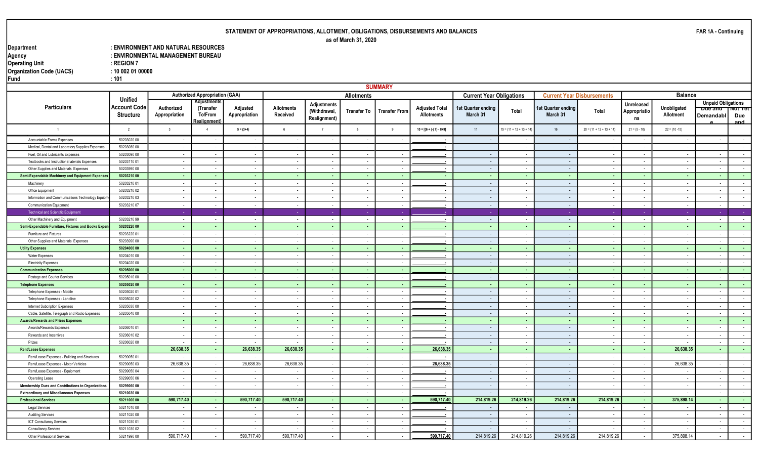#### Department : ENVIRONMENT AND NATURAL RESOURCES : ENVIRONMENTAL MANAGEMENT BUREAU<br>: REGION 7 Operating Unit the Contract of the Second Second Second 1 and 20 and 20 and 20 and 20 and 20 and 20 and 20 and Organization Code (UACS) : 10 002 01 00000 Fund : 101

|                                                     |                                                           |                             |                                                            |                           |                               |                                                    |                          | <b>SUMMARY</b>           |                                            |                                 |                            |                                |                                   |                                         |                          |                                                          |                        |
|-----------------------------------------------------|-----------------------------------------------------------|-----------------------------|------------------------------------------------------------|---------------------------|-------------------------------|----------------------------------------------------|--------------------------|--------------------------|--------------------------------------------|---------------------------------|----------------------------|--------------------------------|-----------------------------------|-----------------------------------------|--------------------------|----------------------------------------------------------|------------------------|
|                                                     |                                                           |                             | <b>Authorized Appropriation (GAA)</b>                      |                           |                               |                                                    | <b>Allotments</b>        |                          |                                            | <b>Current Year Obligations</b> |                            |                                | <b>Current Year Disbursements</b> |                                         | <b>Balance</b>           |                                                          |                        |
| <b>Particulars</b>                                  | <b>Unified</b><br><b>Account Code</b><br><b>Structure</b> | Authorized<br>Appropriation | Adjustments<br>(Transfer<br>To/From<br><b>Realignment)</b> | Adjusted<br>Appropriation | <b>Allotments</b><br>Received | <b>Adjustments</b><br>(Withdrawal,<br>Realignment) | Transfer To              | <b>Transfer From</b>     | <b>Adjusted Total</b><br><b>Allotments</b> | 1st Quarter ending<br>March 31  | Total                      | 1st Quarter ending<br>March 31 | Total                             | <b>Unreleased</b><br>Appropriatio<br>ns | Unobligated<br>Allotment | <b>Unpaid Obligations</b><br><b>Due and</b><br>Demandabl | ⊺NOT Y€T<br>Due<br>and |
| $\overline{1}$                                      | $\overline{2}$                                            | $\overline{\mathbf{3}}$     | $\overline{4}$                                             | $5 = (3+4)$               | 6                             | $7^{\circ}$                                        | 8                        | 9                        | $10 = [{6 + (-) 7} - 8 + 9]$               | 11                              | $15 = (11 + 12 + 13 + 14)$ | 16                             | $20 = (11 + 12 + 13 + 14)$        | $21 = (5 - 10)$                         | $22 = (10 - 15)$         |                                                          |                        |
| Accountable Forms Expenses                          | 50203020 00                                               | $\sim$                      | $\overline{\phantom{a}}$                                   |                           | $\overline{\phantom{a}}$      | $\sim$                                             | $\overline{\phantom{a}}$ | $\sim$                   |                                            | $\sim$                          | $\sim$                     | $\sim$                         |                                   | $\sim$                                  | $\sim$                   | $\overline{\phantom{a}}$                                 | $\sim$                 |
| Medical, Dental and Laboratory Supplies Expenses    | 50203080 00                                               | $\sim$                      | $\sim$                                                     | $\sim$                    | $\sim$                        | $\sim$                                             | $\sim$                   | $\sim$                   | $\sim$                                     | $\sim$                          | $\sim$                     | $\sim$                         | $\sim$                            | $\sim$                                  | $\overline{\phantom{a}}$ | $\sim$                                                   | $\sim$                 |
| Fuel, Oil and Lubricants Expenses                   | 50203090 00                                               |                             | $\sim$                                                     | $\sim$                    | $\sim$                        | $\sim$                                             | $\sim$                   | $\sim$                   | ٠.                                         | $\sim$                          | $\sim$                     | $\sim$                         | $\overline{\phantom{a}}$          | $\sim$                                  | $\sim$                   | $\overline{\phantom{a}}$                                 | $\sim$ $-$             |
| Textbooks and Instructional aterials Expenses       | 5020311001                                                | $\sim$                      | $\sim$                                                     | $\sim$                    | $\sim$                        | $\sim$                                             | $\sim$                   | $\sim$                   | $\sim$                                     | $\sim$                          | $\sim$                     | $\sim$                         | $\sim$                            | $\sim$                                  | $\sim$                   | $\sim$                                                   | $\sim$ 100 $\mu$       |
| Other Supplies and Materials Expenses               | 50203990 00                                               | $\sim$                      | $\sim$                                                     | $\sim$                    | $\sim$                        | $\sim$                                             | $\sim$                   | $\overline{\phantom{a}}$ | $\blacksquare$                             | $\sim$                          | $\sim$                     | $\sim$                         | $\overline{\phantom{a}}$          | $\sim$                                  | $\overline{\phantom{a}}$ | $\overline{\phantom{a}}$                                 | $\sim$                 |
| Semi-Expendable Machinery and Equipment Expenses    | 50203210 00                                               | $\sim$                      | <b>COL</b>                                                 | <b>A</b>                  | <b>COL</b>                    | $\sim$                                             | $\sim$                   | - 1                      | $\sim$                                     | $\sim$                          | $\sim$                     | <b>A</b>                       | $\sim$                            | $\sim$                                  | $\sim$                   | <b>A</b>                                                 | $\sim 10$              |
| Machinery                                           | 50203210 01                                               | $\sim$                      | $\sim$                                                     | $\sim$                    | $\sim$                        | $\sim$                                             | $\sim$                   | $\sim$                   | $\sim$                                     | $\sim$                          | $\sim$                     | $\sim$                         | $\sim$                            | $\sim$                                  | $\sim$                   | $\sim$                                                   | $\sim$                 |
| Office Equipment                                    | 5020321002                                                | $\sim$                      | $\sim$                                                     | $\sim$                    | $\sim$                        | $\sim$                                             | $\sim$                   | $\sim$                   | $\sim$                                     | $\sim$                          | $\sim$                     | $\sim$                         | $\sim$                            | $\sim$                                  | $\sim$ $-$               | $\sim$                                                   | $\sim$ $-$             |
| Information and Communications Technology Equipm    | 50203210 03                                               |                             |                                                            |                           |                               | $\sim$                                             | $\sim$                   | $\overline{\phantom{a}}$ |                                            | $\sim$                          | $\blacksquare$             | $\sim$                         | $\overline{\phantom{a}}$          | $\sim$                                  | $\overline{\phantom{a}}$ |                                                          | $\sim$                 |
| <b>Communication Equipment</b>                      | 50203210 07                                               | $\sim$                      | $\sim$                                                     | $\sim$                    | $\sim$                        | $\sim$                                             | $\sim$                   | $\sim$                   | $\sim$                                     | $\sim$                          | $\sim$                     | $\sim$                         | $\sim$                            | $\sim$                                  | $\sim$                   | $\sim$                                                   | $\sim$                 |
| <b>Technical and Scientific Equipment</b>           |                                                           |                             |                                                            |                           |                               |                                                    |                          |                          |                                            | - 1                             |                            |                                |                                   |                                         |                          |                                                          |                        |
| Other Machinery and Equipment                       | 5020321099                                                | $\sim$                      | $\sim$                                                     | $\sim$                    | $\sim$                        | $\sim$                                             | $\sim$                   | $\sim$                   |                                            | $\sim$                          | $\sim$                     | $\sim$                         | $\sim$                            | $\sim$                                  | $\sim$                   | $\sim$                                                   | $\sim$ $-$             |
| Semi-Expendable Furniture, Fixtures and Books Exper | 50203220 00                                               |                             | <b>COL</b>                                                 | <b>COL</b>                |                               | <b>.</b>                                           | <b>.</b>                 | ۰.                       |                                            | $\sim$                          | $\sim$                     | <b>COL</b>                     | $\sim$                            |                                         | $\sim$                   | <b>.</b>                                                 | $\sim 100$             |
| Furniture and Fixtures                              | 50203220 01                                               | $\sim$                      | $\sim$                                                     | $\sim$                    | $\sim$                        | $\sim$                                             | $\sim$                   | $\sim$                   |                                            | $\sim$                          | $\overline{\phantom{a}}$   | $\sim$                         | $\overline{\phantom{a}}$          | $\sim$                                  | $\sim$                   | $\sim$                                                   | $\sim$ $-$             |
| Other Supplies and Materials Expenses               | 50203990 00                                               | $\sim$                      | $\sim$                                                     | $\sim$                    | $\sim$                        | $\sim$                                             | $\sim$                   | $\sim$                   | $\blacksquare$                             | $\sim$                          | $\sim$                     | $\sim$                         | $\sim$                            | $\sim$                                  | $\overline{\phantom{a}}$ | $\sim$                                                   | $\sim$ $-$             |
| <b>Utility Expenses</b>                             | 50204000 00                                               |                             | <b>COL</b>                                                 | <b>COL</b>                | <b>COL</b>                    | <b>COL</b>                                         | <b>.</b>                 | ۰.                       |                                            | <b>COL</b>                      | . н.                       | <b>COL</b>                     | <b>.</b>                          | <b>COL</b>                              | <b>COL</b>               | <b>COL</b>                                               | <b>Service</b>         |
| <b>Water Expenses</b>                               | 50204010 00                                               | $\overline{\phantom{a}}$    | $\sim$                                                     | $\sim$                    | $\sim$                        | $\sim$                                             | $\sim$                   | $\overline{\phantom{a}}$ |                                            | $\sim$ $-$                      | $\sim$                     | $\sim$                         | $\sim$                            | $\sim$                                  | $\sim$                   | $\sim$                                                   | $\sim$                 |
| <b>Electricity Expenses</b>                         | 50204020 00                                               | $\sim$                      | $\sim$                                                     | $\sim$                    | $\sim$                        | $\sim$                                             | $\sim$                   | $\overline{\phantom{a}}$ | . .                                        | $\sim$                          | $\sim$                     | $\sim$                         | $\overline{\phantom{a}}$          | $\sim$                                  | $\overline{\phantom{a}}$ | $\sim$                                                   | $\sim$                 |
| <b>Communication Expenses</b>                       | 50205000 00                                               |                             | <b>.</b>                                                   | <b>.</b>                  |                               | <b>.</b>                                           | . н.                     | $\sim$                   | ٠.                                         | $\sim$                          | $\sim$                     | $\sim$                         | $\sim$                            | <b>.</b>                                | $\sim$                   | . н.                                                     | $\sim 100$             |
| Postage and Courier Services                        | 50205010 00                                               | $\sim$                      | $\sim$                                                     | $\overline{\phantom{a}}$  | $\sim$                        | $\sim$                                             | $\sim$                   | $\overline{\phantom{a}}$ |                                            | $\sim$                          | $\sim$                     | $\sim$                         | $\sim$                            | $\sim$                                  | $\sim$                   | $\sim$                                                   | $\sim$                 |
| <b>Telephone Expenses</b>                           | 50205020 00                                               | $\sim$                      | <b>COL</b>                                                 | . н.                      | . н.                          | $\sim$                                             | $\sim$                   | $\sim$                   | ٠.                                         | $\sim$                          | $\sim$                     | $\sim$                         | $\sim$                            | <b>.</b>                                | $\sim$                   | $\sim$                                                   | $\sim 100$             |
| Telephone Expenses - Mobile                         | 50205020 01                                               | $\sim$                      | $\sim$                                                     | $\overline{\phantom{a}}$  | $\sim$                        | $\sim$                                             | $\sim$                   | $\sim$                   | $\blacksquare$                             | $\sim$                          | $\sim$                     | $\sim$                         | $\overline{\phantom{a}}$          | $\sim$                                  | $\sim$                   | $\overline{\phantom{a}}$                                 | $\sim$                 |
| Telephone Expenses - Landline                       | 50205020 02                                               | $\sim$                      |                                                            |                           |                               | $\sim$                                             | $\sim$                   | $\sim$                   | $\sim$                                     | $\sim$                          | $\overline{\phantom{a}}$   | $\sim$                         | $\sim$                            | $\sim$                                  | $\overline{\phantom{a}}$ | $\overline{\phantom{a}}$                                 | $\sim$                 |
| Internet Subcription Expenses                       | 50205030 00                                               |                             |                                                            |                           |                               | $\sim$                                             | $\overline{\phantom{a}}$ | $\sim$                   |                                            | $\sim$                          | $\sim$                     | $\sim$                         | $\sim$                            | $\sim$                                  | $\overline{\phantom{a}}$ |                                                          | $\sim$                 |
| Cable, Satellite, Telegraph and Radio Expenses      | 50205040 00                                               |                             |                                                            |                           |                               | $\sim$                                             | $\sim$                   | $\overline{\phantom{a}}$ | $\blacksquare$                             | $\sim$                          | $\overline{\phantom{a}}$   | $\sim$                         | $\sim$                            | $\sim$                                  | $\overline{\phantom{a}}$ | $\sim$                                                   | $\sim$                 |
| <b>Awards/Rewards and Prizes Expenses</b>           |                                                           | $\sim$                      | $\sim$                                                     | ۰.                        | <b>.</b>                      | <b>.</b>                                           | <b>.</b>                 | ۰.                       |                                            | $\sim$                          | ч.                         | <b>COL</b>                     | $\sim$                            | $\sim$                                  | $\sim$                   | $\sim$                                                   | $\sim 100$             |
| Awards/Rewards Expenses                             | 5020601001                                                | $\sim$                      | $\sim$                                                     | $\sim$                    | $\sim$                        | $\sim$                                             | $\overline{\phantom{a}}$ | $\sim$                   | $\blacksquare$                             | $\sim$                          | $\overline{\phantom{a}}$   | $\sim$                         | $\sim$                            | $\sim$                                  | $\overline{\phantom{a}}$ | $\sim$                                                   | $\sim$                 |
| Rewards and Incentives                              | 50206010 02                                               | $\sim$                      | $\sim$                                                     | $\sim$                    | $\sim$                        | $\sim$                                             | $\sim$                   | $\sim$                   | ٠.                                         | $\sim$                          | $\sim$                     | $\sim$                         | $\overline{\phantom{a}}$          | $\sim$                                  | $\overline{\phantom{a}}$ | $\sim$                                                   | $\sim$                 |
| Prizes                                              | 50206020 00                                               | $\sim$                      | $\sim$                                                     |                           | $\sim$                        | $\sim$                                             | $\sim$                   | $\sim$                   |                                            | $\sim$                          | $\sim$                     | $\sim$                         | $\sim$                            | $\sim$                                  | $\overline{\phantom{a}}$ | $\sim$                                                   | $\sim$                 |
| <b>Rent/Lease Expenses</b>                          |                                                           | 26,638.35                   | <b>COL</b>                                                 | 26,638.35                 | 26,638.35                     | - 11                                               | - 1                      | ۰.                       | 26,638.3                                   | <b>COL</b>                      | . н.                       | <b>COL</b>                     | <b>A</b>                          | <b>COL</b>                              | 26,638.35                | <b>COL</b>                                               | <b>Card</b>            |
| Rent/Lease Expenses - Building and Structures       | 50299050 01                                               |                             | $\sim$                                                     |                           |                               | $\sim$                                             | $\sim$                   | $\sim$                   |                                            | $\sim$                          | $\sim$                     | $\sim$                         | $\sim$                            | $\sim$                                  | $\overline{\phantom{a}}$ | $\sim$                                                   | $\sim$ 100 $\mu$       |
| Rent/Lease Expenses - Motor Vehicles                | 50299050 03                                               | 26,638.35                   | $\sim$                                                     | 26,638.35                 | 26,638.35                     | $\sim$                                             | $\sim$                   | $\sim$                   | 26,638.3                                   | $\sim$                          | $\sim$                     | $\sim$                         | $\sim$                            | $\sim$                                  | 26,638.35                | $\sim$                                                   | $\sim$ $-$             |
| Rent/Lease Expenses - Equipment                     | 50299050 04                                               | $\sim$                      | $\sim$                                                     | $\sim$                    | $\sim$                        | $\sim$                                             | $\sim$                   | $\sim$                   | $\sim$                                     | $\sim$                          | $\sim$                     | $\sim$                         | $\sim$                            | $\sim$                                  | $\sim$                   | $\sim$                                                   | $\sim$ $-$             |
| <b>Operating Lease</b>                              | 50299050 06                                               | $\sim$                      | $\sim$                                                     | $\sim$                    | $\sim$                        | $\sim$                                             | $\sim$                   | $\sim$                   | $\blacksquare$                             | $\sim$                          | $\sim$                     | $\sim$                         | $\sim$                            | $\sim$                                  | $\sim$                   | $\sim$                                                   | $\sim$ $-$             |
| Membership Dues and Contributions to Organizations  | 50299060 00                                               | $\sim$                      | $\sim$                                                     | $\sim$                    | $\sim$                        | $\sim$                                             | $\sim$                   | $\sim$                   | $\sim$                                     | $\sim$                          | $\sim$ $-$                 | $\sim$                         | $\sim$                            | $\sim$                                  | $\sim$                   | $\sim$ $-$                                               | $\sim$ $-$             |
| <b>Extraordinary and Miscellaneous Expenses</b>     | 5021003000                                                | $\sim$                      | $\sim$                                                     |                           | $\sim$                        | $\sim$                                             | $\sim$                   | $\sim$                   |                                            | $\sim$                          | $\sim$                     | $\sim$                         | $\overline{\phantom{a}}$          | $\sim$                                  | $\sim$                   | $\sim$                                                   | $\sim$                 |
| <b>Professional Services</b>                        | 50211000 00                                               | 590,717.40                  | $\sim$                                                     | 590,717.40                | 590,717.40                    | $\sim$                                             | $\sim$                   | $\sim$                   | 590,717.40                                 | 214,819.26                      | 214,819.26                 | 214,819.26                     | 214,819.26                        | $\sim$                                  | 375,898.14               | <b>A</b>                                                 | $\sim 10$              |
| <b>Legal Services</b>                               | 50211010 00                                               |                             |                                                            |                           | $\sim$                        | $\sim$                                             | $\overline{\phantom{a}}$ | $\overline{\phantom{a}}$ | $\blacksquare$                             | $\sim$                          | $\overline{\phantom{a}}$   | $\sim$                         | $\sim$                            | $\sim$                                  | $\overline{\phantom{a}}$ | $\overline{\phantom{a}}$                                 | $\sim$                 |
| <b>Auditing Services</b>                            | 50211020 00                                               | $\sim$                      | $\sim$                                                     | $\sim$                    | $\sim$                        | $\sim$                                             | $\sim$                   | $\sim$                   |                                            | $\sim$                          | $\sim$                     | $\sim$                         | $\overline{\phantom{a}}$          | $\sim$                                  | $\overline{\phantom{a}}$ | $\sim$                                                   | $\sim$ $-$             |
| ICT Consultancy Services                            | 50211030 01                                               |                             |                                                            |                           |                               | $\sim$                                             | $\overline{\phantom{a}}$ |                          |                                            | $\sim$                          | $\sim$                     | $\sim$                         |                                   |                                         | $\overline{\phantom{a}}$ |                                                          | $\sim$                 |
| <b>Consultancy Services</b>                         | 50211030 02                                               | $\sim$                      | $\sim$                                                     |                           | $\sim$                        | $\sim$                                             | $\sim$                   | $\sim$                   |                                            | $\sim$                          | $\sim$                     | $\sim$                         |                                   | $\sim$                                  | $\overline{\phantom{a}}$ | $\sim$                                                   | $\sim$                 |
| <b>Other Professional Services</b>                  | 50211990 00                                               | 590.717.40                  | $\sim$                                                     | 590.717.40                | 590.717.40                    | $\sim$                                             | $\overline{\phantom{a}}$ | $\overline{\phantom{a}}$ | 590,717.40                                 | 214,819.26                      | 214,819.26                 | 214,819.26                     | 214,819.26                        | $\sim$                                  | 375,898.14               | $\sim$                                                   | $\sim$                 |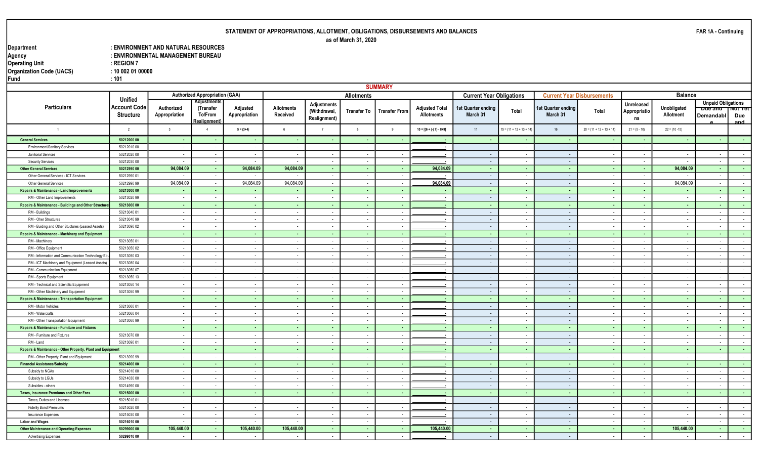#### Department : ENVIRONMENT AND NATURAL RESOURCES : ENVIRONMENTAL MANAGEMENT BUREAU<br>: REGION 7 Operating Unit the Contract of the Second Second Second 1 and 20 and 20 and 20 and 20 and 20 and 20 and 20 and Organization Code (UACS) : 10 002 01 00000 Fund : 101

|                                                             |                                                           |                             |                                                            |                           |                               |                                                    |                          | <b>SUMMARY</b>           |                                            |                                 |                            |                                |                                   |                                         |                          |                                                          |                        |
|-------------------------------------------------------------|-----------------------------------------------------------|-----------------------------|------------------------------------------------------------|---------------------------|-------------------------------|----------------------------------------------------|--------------------------|--------------------------|--------------------------------------------|---------------------------------|----------------------------|--------------------------------|-----------------------------------|-----------------------------------------|--------------------------|----------------------------------------------------------|------------------------|
|                                                             |                                                           |                             | <b>Authorized Appropriation (GAA)</b>                      |                           |                               |                                                    | <b>Allotments</b>        |                          |                                            | <b>Current Year Obligations</b> |                            |                                | <b>Current Year Disbursements</b> |                                         | <b>Balance</b>           |                                                          |                        |
| <b>Particulars</b>                                          | <b>Unified</b><br><b>Account Code</b><br><b>Structure</b> | Authorized<br>Appropriation | Adjustments<br>(Transfer<br>To/From<br><b>Realignment)</b> | Adjusted<br>Appropriation | <b>Allotments</b><br>Received | <b>Adjustments</b><br>(Withdrawal,<br>Realignment) | Transfer To              | <b>Transfer From</b>     | <b>Adjusted Total</b><br><b>Allotments</b> | 1st Quarter ending<br>March 31  | Total                      | 1st Quarter ending<br>March 31 | Total                             | <b>Unreleased</b><br>Appropriatio<br>ns | Unobligated<br>Allotment | <b>Unpaid Obligations</b><br><b>Due and</b><br>Demandabl | ⊺NOT Y€T<br>Due<br>and |
| $\overline{1}$                                              | $\overline{2}$                                            | $\overline{\mathbf{3}}$     | $\Delta$                                                   | $5 = (3+4)$               | 6                             | $\overline{7}$                                     | 8                        | $\mathbf{g}$             | $10 = [{6 + (-) 7} - 8 + 9]$               | 11                              | $15 = (11 + 12 + 13 + 14)$ | 16                             | $20 = (11 + 12 + 13 + 14)$        | $21 = (5 - 10)$                         | $22 = (10 - 15)$         |                                                          |                        |
| <b>General Services</b>                                     | 50212000 00                                               | $\sim$                      | . .                                                        |                           | <b>COL</b>                    | <b>COL</b>                                         | <b>CONT</b>              | . .                      |                                            | $\sim$                          | . н.                       | <b>COL</b>                     | п.                                | . .                                     | <b>COL</b>               | <b>COL</b>                                               | <b>Contract</b>        |
| Environment/Sanitary Services                               | 50212010 00                                               | $\sim$                      | $\sim$                                                     | $\sim$                    | $\sim$                        | $\sim$                                             | $\sim$                   | $\sim$                   | $\sim$                                     | $\sim$ $-$                      | $\sim$                     | $\sim$                         | $\sim$                            | $\sim$                                  | $\sim$                   | $\sim$                                                   | $\sim$                 |
| Janitorial Services                                         | 50212020 00                                               | $\overline{\phantom{a}}$    | $\sim$                                                     | $\sim$                    | $\sim$                        | $\sim$                                             | $\sim$                   | $\sim$                   | $\overline{\phantom{a}}$                   | $\sim$ $-$                      | $\sim$                     | $\sim$                         | $\overline{\phantom{a}}$          | $\sim$                                  | $\sim$                   | $\sim$                                                   | $\sim$ $-$             |
| <b>Security Services</b>                                    | 50212030 00                                               | $\sim$                      | $\sim$                                                     |                           | $\sim$                        | $\sim$                                             | $\sim$                   | $\sim$                   |                                            | $\sim$ $-$                      | $\sim$                     | $\sim$                         | $\sim$                            | $\sim$                                  | $\overline{\phantom{a}}$ | $\sim$                                                   | $\sim$ 100 $\mu$       |
| <b>Other General Services</b>                               | 50212990 00                                               | 94,084.09                   | - 1                                                        | 94,084.09                 | 94,084.09                     | - 11                                               | - 1                      | - 1                      | 94,084.0                                   | - 1                             | <b>A</b>                   | <b>Contract</b>                | <b>A</b>                          | $\sim$                                  | 94,084.09                | <b>Section</b>                                           | <b>Contract</b>        |
| Other General Services - ICT Services                       | 5021299001                                                | $\sim$                      | $\sim$                                                     |                           |                               | $\sim$                                             | $\sim$                   | $\sim$                   |                                            | $\sim$                          | $\sim$                     | $\sim$                         | $\sim$                            | $\sim$                                  | $\overline{\phantom{a}}$ | $\sim$                                                   | $\sim$ $-$             |
| <b>Other General Services</b>                               | 50212990 99                                               | 94,084.09                   | $\sim$                                                     | 94,084.09                 | 94,084.09                     | $\sim$                                             | $\sim$                   | $\sim$                   | 94,084.09                                  | $\sim$                          | $\sim$                     | $\sim$                         | $\sim$                            | $\sim$                                  | 94,084.09                | $\sim$                                                   | $\sim$ $-$             |
| Repairs & Maintenance - Land Improvements                   | 50213000 00                                               | $\sim$                      | $\sim$ $-$                                                 | <b>.</b>                  | <b>COL</b>                    | $\sim$                                             | $\sim$                   | $\sim$                   | $\sim$                                     | $\sim$                          | <b>Card</b>                | <b>A</b>                       | $\sim$                            | $\sim$                                  | $\sim$                   | $\sim$                                                   | $\sim 100$             |
| RM - Other Land Improvements                                | 5021302099                                                |                             |                                                            |                           |                               | $\sim$                                             | $\overline{\phantom{a}}$ | $\overline{\phantom{a}}$ |                                            | $\sim$                          | $\overline{\phantom{a}}$   | $\sim$                         | $\overline{\phantom{a}}$          | $\sim$                                  | $\overline{\phantom{a}}$ |                                                          | $\sim$                 |
| Repairs & Maintenance - Buildings and Other Structure       | 50213000 00                                               | $\sim$                      | <b>COL</b>                                                 | <b>A</b>                  | <b>COL</b>                    | $\sim$                                             | $\sim$                   | $\sim$                   | $\overline{\phantom{a}}$                   | $\sim$                          | $\sim$                     | $\sim$                         | $\sim$                            | $\sim$                                  | $\sim$                   | $\sim$                                                   | $\sim 100$             |
| RM - Buildings                                              | 50213040 01                                               |                             |                                                            | $\sim$                    | $\sim$                        | $\sim$                                             | $\overline{\phantom{a}}$ | $\overline{\phantom{a}}$ |                                            | $\sim$                          | $\sim$                     | $\sim$                         | $\blacksquare$                    | $\sim$                                  | $\overline{\phantom{a}}$ | $\overline{\phantom{a}}$                                 | $\sim$                 |
| RM - Oher Structures                                        | 50213040 99                                               |                             | $\sim$                                                     | $\sim$                    | $\sim$                        | $\sim$                                             | $\sim$                   | $\overline{\phantom{a}}$ |                                            | $\sim$                          | $\sim$                     | $\sim$                         | $\overline{\phantom{a}}$          | $\sim$                                  | $\overline{\phantom{a}}$ | $\sim$                                                   | $\sim$                 |
| RM - Buiding and Other Stuctures (Leased Assets)            | 50213090 02                                               | $\sim$                      | $\sim$                                                     | $\sim$                    | $\sim$                        | $\sim$                                             | $\sim$                   | $\sim$                   |                                            | $\sim$                          | $\sim$                     | $\sim$                         | $\overline{\phantom{a}}$          | $\sim$                                  | $\sim$                   | $\sim$                                                   | $\sim$                 |
| Repairs & Maintenance - Machinery and Equipment             |                                                           | <b><i><u>ALCO</u></i></b>   | - 11                                                       | - 1                       | <b>COL</b>                    | <b>COL</b>                                         | <b>.</b>                 | - 1                      |                                            | <b>COL</b>                      | ◆                          | <b>Contract</b>                | <b>A</b>                          | <b>COL</b>                              | - 11                     | <b>Section</b>                                           | <b>Contract</b>        |
| RM - Machinery                                              | 50213050 01                                               | $\sim$                      | $\sim$                                                     | $\sim$                    | $\sim$                        | $\sim$                                             | $\sim$                   | $\sim$                   | $\blacksquare$                             | $\sim$                          | $\sim$                     | $\sim$                         | $\sim$                            | $\sim$                                  | $\sim$                   | $\overline{\phantom{a}}$                                 | $\sim$                 |
| RM - Office Equipment                                       | 50213050 02                                               |                             | $\sim$                                                     | $\sim$                    | $\sim$                        | $\sim$                                             | $\sim$                   | $\sim$                   |                                            | $\sim$                          | $\overline{\phantom{a}}$   | $\sim$                         | $\overline{\phantom{a}}$          | $\sim$                                  | $\overline{\phantom{a}}$ | $\overline{\phantom{a}}$                                 | $\sim$ $-$             |
| RM - Information and Communication Technology Eq            | 50213050 03                                               |                             | $\sim$                                                     | $\sim$                    | $\sim$                        | $\sim$                                             | $\sim$                   | $\overline{\phantom{a}}$ | $\blacksquare$                             | $\sim$                          | $\sim$                     | $\sim$                         | $\sim$                            | $\sim$                                  | $\overline{\phantom{a}}$ | $\sim$                                                   | $\sim$                 |
| RM - ICT Machinery and Equipment (Leased Assets)            | 5021308004                                                | $\overline{\phantom{a}}$    | $\sim$                                                     | $\overline{\phantom{a}}$  | $\sim$                        | $\sim$                                             | $\sim$                   | $\overline{\phantom{a}}$ | . .                                        | $\sim$                          | $\sim$                     | $\sim$                         | $\overline{\phantom{a}}$          | $\sim$                                  | $\overline{\phantom{a}}$ | $\sim$                                                   | $\sim$                 |
| RM - Communication Equipment                                | 50213050 07                                               | $\sim$                      | $\sim$                                                     | $\sim$                    |                               | $\sim$                                             | $\sim$                   | $\overline{\phantom{a}}$ | $\sim$                                     | $\sim$                          | $\sim$                     | $\sim$                         | $\sim$                            | $\sim$                                  | $\overline{\phantom{a}}$ | $\sim$                                                   | $\sim$                 |
| RM - Sports Equipment                                       | 50213050 13                                               | $\sim$                      | $\sim$                                                     | $\sim$                    | $\sim$                        | $\sim$                                             | $\sim$                   | $\overline{\phantom{a}}$ | $\blacksquare$                             | $\sim$                          | $\sim$                     | $\sim$                         | $\sim$                            | $\sim$                                  | $\sim$                   | $\sim$                                                   | $\sim$                 |
| RM - Technical and Scientific Equipment                     | 50213050 14                                               | $\sim$                      | $\sim$                                                     | $\sim$                    | $\sim$                        | $\sim$                                             | $\sim$                   | $\sim$                   | $\sim$                                     | $\sim$                          | $\overline{\phantom{a}}$   | $\sim$                         | $\sim$                            | $\sim$                                  | $\sim$                   | $\sim$                                                   | $\sim$                 |
| RM - Other Machinery and Equipment                          | 50213050 99                                               | $\sim$                      | $\sim$                                                     | $\overline{\phantom{a}}$  | $\sim$                        | $\sim$                                             | $\sim$                   | $\sim$                   | $\blacksquare$                             | $\sim$                          | $\sim$                     | $\sim$                         | $\sim$                            | $\sim$                                  | $\sim$                   | $\sim$                                                   | $\sim$                 |
| <b>Repairs &amp; Maintenance - Transportation Equipment</b> |                                                           | <b>.</b>                    | <b>.</b>                                                   | <b>.</b>                  | <b>.</b>                      | <b>.</b>                                           | $\sim$                   | $\sim$                   | $\blacksquare$                             | $\sim$                          | $\sim$                     | $\sim$                         | $\sim$                            | <b>.</b>                                | $\sim$                   | $\sim$                                                   | $\sim 100$             |
| RM - Motor Vehicles                                         | 50213060 01                                               |                             |                                                            |                           |                               | $\sim$                                             | $\sim$                   | $\sim$                   |                                            | $\sim$                          | $\overline{\phantom{a}}$   | $\sim$                         | $\blacksquare$                    | $\sim$                                  | $\overline{\phantom{a}}$ |                                                          | $\sim$                 |
| RM - Watercrafts                                            | 50213060 04                                               |                             |                                                            |                           |                               | $\sim$                                             | $\sim$                   | $\overline{\phantom{a}}$ |                                            | $\sim$                          | $\overline{\phantom{a}}$   | $\sim$                         | $\sim$                            | $\sim$                                  | $\overline{\phantom{a}}$ | $\overline{\phantom{a}}$                                 | $\sim$                 |
| RM - Other Transportation Equipment                         | 50213060 99                                               | $\sim$                      | . .                                                        | $\sim$                    |                               | $\sim$                                             | $\sim$                   | $\sim$                   |                                            | $\sim$                          | $\sim$                     | $\sim$                         | $\overline{\phantom{a}}$          | $\sim$                                  | $\sim$                   | $\sim$                                                   | $\sim$                 |
| Repairs & Maintenance - Furniture and Fixtures              |                                                           | <b>.</b>                    | <b>.</b>                                                   | <b>.</b>                  | <b>COL</b>                    | <b>.</b>                                           | <b>A</b>                 | $\sim$                   | $\sim$                                     | $\sim$                          | $\sim$                     | <b>A</b>                       | $\sim$                            | <b>.</b>                                | $\sim$                   | <b>COL</b>                                               | $\sim 100$             |
| RM - Furniture and Fixtures                                 | 50213070 00                                               | $\sim$                      | $\overline{\phantom{a}}$                                   | $\sim$                    | $\overline{\phantom{a}}$      | $\sim$                                             | $\sim$                   | $\sim$                   | ٠.                                         | $\sim$                          | $\sim$                     | $\sim$                         | $\overline{\phantom{a}}$          | $\sim$                                  | $\overline{\phantom{a}}$ | $\sim$                                                   | $\sim$                 |
| RM - Land                                                   | 50213090 01                                               | $\sim$                      | $\sim$                                                     | $\sim$                    | $\sim$                        | $\sim$                                             | $\sim$                   | $\sim$                   | $\blacksquare$                             | $\sim$                          | $\sim$                     | $\sim$                         | $\sim$                            | $\sim$                                  | $\sim$                   | $\sim$                                                   | $\sim$                 |
| Repairs & Maintenance - Other Property, Plant and Equipment |                                                           | . .                         | <b>COL</b>                                                 | <b>COL</b>                | <b>COL</b>                    | <b>COL</b>                                         | <b>COL</b>               | ۰.                       | . .                                        | <b>COL</b>                      | . н.                       | <b>COL</b>                     | $\sim$                            | <b>COL</b>                              | <b>.</b>                 | <b>COL</b>                                               | <b>Card</b>            |
| RM - Other Property, Plant and Equipment                    | 5021399099                                                | $\sim$                      | $\sim$                                                     | $\sim$                    | $\sim$                        | $\sim$                                             | $\sim$                   | $\sim$                   | $\sim$                                     | $\sim$                          | $\sim$                     | $\sim$                         | $\sim$                            | $\sim$                                  | $\sim$                   | $\sim$                                                   | $\sim$ 100 $\mu$       |
| <b>Financial Assistance/Subsidy</b>                         | 50214000 00                                               | $\sim$                      | $\sim$                                                     | <b>COL</b>                | <b>COL</b>                    | - 1                                                | - 1                      | - 1                      | $\blacksquare$                             | <b>COL</b>                      | <b>A</b>                   | <b>COL</b>                     | <b>COL</b>                        | <b>COL</b>                              | <b>COL</b>               | <b>COL</b>                                               | <b>Contract</b>        |
| Subsidy to NGAs                                             | 50214010 00                                               | $\sim$                      | $\sim$                                                     | $\sim$                    | $\sim$                        | $\sim$                                             | $\sim$                   | $\sim$                   | $\sim$                                     | $\sim$                          | $\sim$                     | $\sim$                         | $\sim$                            | $\sim$                                  | $\sim$                   | $\sim$                                                   | $\sim 10^{-11}$        |
| Subsidy to LGUs                                             | 50214030 00                                               | $\sim$                      | $\sim$                                                     | $\sim$                    | $\sim$                        | $\sim$                                             | $\sim$                   | $\sim$                   | $\sim$                                     | $\sim$                          | $\sim$                     | $\sim$                         | $\sim$                            | $\sim$                                  | $\sim$                   | $\sim$                                                   | $\sim$                 |
| Subsidies - others                                          | 5021499000                                                | $\sim$                      | $\sim$                                                     | $\sim$                    | $\sim$                        | $\sim$                                             | $\sim$                   | $\sim$                   | $\sim$                                     | $\sim$                          | $\sim$ $-$                 | $\sim$                         | $\sim$                            | $\sim$                                  | $\sim$ $-$               | $\sim$ $-$                                               | $\sim$ $-$             |
| <b>Taxes, Insurance Premiums and Other Fees</b>             | 50215000 00                                               | <b>.</b>                    |                                                            | <b>A</b>                  | <b>COL</b>                    | - 1                                                | $\sim$                   | - 1                      |                                            | $\sim$                          | $\sim$                     | <b>A</b>                       | <b>A</b>                          | $\sim$                                  | $\sim$                   | <b>.</b>                                                 | <b>Carl Co</b>         |
| Taxes, Duties and Licenses                                  | 50215010 01                                               | $\sim$                      | $\sim$                                                     | $\sim$                    | $\sim$                        | $\sim$                                             | $\sim$                   | $\sim$                   | ж.                                         | $\sim$                          | $\sim$                     | $\sim$                         | $\sim$                            | $\sim$                                  | $\sim$                   | $\sim$                                                   | $\sim$ $-$             |
| <b>Fidelity Bond Premiums</b>                               | 50215020 00                                               |                             |                                                            |                           |                               | $\sim$                                             | $\overline{\phantom{a}}$ | $\overline{\phantom{a}}$ |                                            | $\sim$                          | $\overline{\phantom{a}}$   | $\sim$                         | $\overline{\phantom{a}}$          |                                         | $\overline{\phantom{a}}$ | $\overline{\phantom{a}}$                                 | $\sim$                 |
| Insurance Expenses                                          | 50215030 00                                               | $\sim$                      | $\sim$                                                     | $\sim$                    | $\sim$                        | $\sim$                                             | $\sim$                   | $\sim$                   |                                            | $\sim$                          | $\sim$                     | $\sim$                         | $\overline{\phantom{a}}$          | $\sim$                                  | $\overline{\phantom{a}}$ | $\sim$                                                   | $\sim$ $-$             |
| <b>Labor and Wages</b>                                      | 50216010 00                                               |                             |                                                            |                           |                               | $\sim$                                             | $\overline{\phantom{a}}$ |                          |                                            | $\sim$                          | $\sim$                     | $\sim$                         |                                   |                                         | $\overline{\phantom{a}}$ | $\overline{\phantom{a}}$                                 | $\sim$                 |
| <b>Other Maintenance and Operating Expenses</b>             | 50299000 00                                               | 105,440.00                  | - 1                                                        | 105,440.00                | 105,440.00                    | <b>COL</b>                                         | $\sim$                   | - 1                      | 105,440.0                                  | <b>COL</b>                      | $\sim$                     | <b>COL</b>                     | <b>A</b>                          | <b>A</b>                                | 105,440.00               | <b>A</b>                                                 | $\sim 100$             |
| <b>Advertising Expenses</b>                                 | 50299010 00                                               | $\sim$                      | $\sim$                                                     | $\sim$                    |                               | $\sim$                                             | $\overline{\phantom{a}}$ | $\overline{\phantom{a}}$ | ٠.                                         | $\sim$                          | $\sim$                     | $\sim$                         | $\sim$                            | $\sim$                                  | $\blacksquare$           | $\sim$                                                   | $\sim$                 |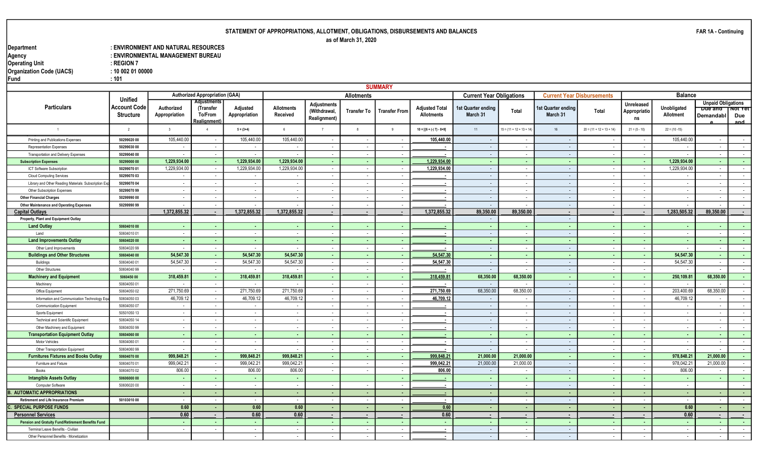#### Department : ENVIRONMENT AND NATURAL RESOURCES : ENVIRONMENTAL MANAGEMENT BUREAU<br>: REGION 7 Operating Unit the Contract of the Second Second Second 1 and 20 and 20 and 20 and 20 and 20 and 20 and 20 and Organization Code (UACS) : 10 002 01 00000 Fund : 101

|                                                     |                                         |                             |                                            |                           |                          |                              |                          | <b>SUMMARY</b>           |                                            |                                 |                            |                                   |                            |                          |                          |                                    |                       |
|-----------------------------------------------------|-----------------------------------------|-----------------------------|--------------------------------------------|---------------------------|--------------------------|------------------------------|--------------------------|--------------------------|--------------------------------------------|---------------------------------|----------------------------|-----------------------------------|----------------------------|--------------------------|--------------------------|------------------------------------|-----------------------|
|                                                     |                                         |                             | <b>Authorized Appropriation (GAA)</b>      |                           |                          |                              | <b>Allotments</b>        |                          |                                            | <b>Current Year Obligations</b> |                            | <b>Current Year Disbursements</b> |                            |                          | <b>Balance</b>           |                                    |                       |
|                                                     | <b>Unified</b>                          |                             | <b>Adjustments</b>                         |                           |                          | <b>Adjustments</b>           |                          |                          |                                            |                                 |                            |                                   |                            | <b>Unreleased</b>        |                          | <b>Unpaid Obligations</b>          |                       |
| <b>Particulars</b>                                  | <b>Account Code</b><br><b>Structure</b> | Authorized<br>Appropriation | (Transfer<br>To/From<br><b>Realignment</b> | Adjusted<br>Appropriation | Allotments<br>Received   | (Withdrawal,<br>Realignment) | <b>Transfer To</b>       | <b>Transfer From</b>     | <b>Adjusted Total</b><br><b>Allotments</b> | 1st Quarter ending<br>March 31  | Total                      | 1st Quarter ending<br>March 31    | Total                      | Appropriatio<br>ns       | Unobligated<br>Allotment | <b>Due and</b><br><b>Demandabl</b> | Not yet<br>Due<br>and |
|                                                     | $\overline{2}$                          | $\overline{3}$              | $\Delta$                                   | $5 = (3+4)$               | 6                        | $\overline{7}$               | 8                        | -9                       | $10 = [{6 + (-7) - 8 + 9}]$                | 11                              | $15 = (11 + 12 + 13 + 14)$ | 16                                | $20 = (11 + 12 + 13 + 14)$ | $21 = (5 - 10)$          | $22 = (10 - 15)$         |                                    |                       |
| Printing and Publications Expenses                  | 50299020 00                             | 105,440.00                  |                                            | 105,440.00                | 105,440.00               | $\sim$                       |                          | $\sim$                   | 105,440.00                                 | $\sim$                          | $\sim$                     | $\sim$                            |                            |                          | 105,440.00               | $\sim$                             | $\sim$                |
| Representation Expenses                             | 50299030 00                             | $\sim$                      | $\sim$                                     |                           |                          | $\sim$                       | $\sim$                   | $\sim$                   |                                            | $\sim$                          | $\sim$                     | $\sim$                            | $\overline{\phantom{a}}$   | $\overline{\phantom{a}}$ | $\overline{\phantom{a}}$ | $\sim$                             | $\sim$                |
| Transportation and Delivery Expenses                | 50299040 00                             | $\sim$                      | $\sim$                                     |                           |                          | $\sim$                       | $\sim$                   | $\sim$                   |                                            | $\sim$                          | $\sim$                     | $\sim$                            | $\overline{\phantom{a}}$   | $\overline{\phantom{a}}$ | $\overline{\phantom{a}}$ | $\sim$                             | $\sim$                |
| <b>Subscription Expenses</b>                        | 50299000 00                             | 1,229,934.00                | - 10                                       | 1,229,934.00              | 1,229,934.00             | - 1                          | <b>.</b>                 | <b>.</b>                 | 1,229,934.0                                | <b>COL</b>                      | <b>COL</b>                 | <b>A</b>                          | $\sim$                     | . .                      | 1,229,934.00             | <b>.</b>                           | $\sim$                |
| ICT Software Subscription                           | 50299070 01                             | 1,229,934.00                | $\sim$                                     | 1,229,934.00              | 1,229,934.00             | $\sim$                       | $\sim$                   | $\sim$                   | 1,229,934.00                               | $\sim$                          | $\sim$                     | $\sim$                            | $\overline{\phantom{a}}$   | $\overline{\phantom{a}}$ | 1,229,934.00             | $\sim$                             | $\sim$                |
| <b>Cloud Computing Services</b>                     | 50299070 03                             | $\sim$                      | $\sim$                                     | $\sim$                    | $\overline{\phantom{a}}$ | $\sim$                       | $\sim$                   | $\sim$                   |                                            | $\sim$                          | $\sim$                     | $\sim$                            | $\overline{\phantom{a}}$   | $\overline{\phantom{a}}$ | $\sim$                   | $\sim$                             | $\sim$                |
| Library and Other Reading Materials Subscription Ex | 50299070 04                             | $\overline{\phantom{a}}$    | $\sim$                                     | $\sim$                    | $\overline{\phantom{a}}$ | $\sim$                       | $\sim$                   | $\sim$                   |                                            | $\sim$                          | $\sim$                     | $\sim$                            | $\overline{\phantom{a}}$   | $\overline{a}$           | $\sim$                   | $\overline{\phantom{a}}$           | $\sim$                |
| Other Subscription Expenses                         | 50299070 99                             | $\sim$                      | $\sim$                                     | $\sim$                    | $\sim$                   | $\sim$                       | $\sim$                   | $\sim$                   | $\sim$                                     | $\sim$                          | $\sim$                     | $\sim$                            | $\sim$                     | $\overline{\phantom{a}}$ | $\sim$                   | $\sim$                             | $\sim$                |
| <b>Other Financial Charges</b>                      | 50299990 00                             | $\sim$                      | $\sim$                                     | $\sim$                    | $\sim$                   | $\sim$                       | $\sim$                   | $\sim$                   |                                            | $\sim$                          | $\sim$                     | $\sim$                            | $\overline{a}$             | $\overline{\phantom{a}}$ | $\sim$                   | $\overline{\phantom{a}}$           | $\sim$                |
| <b>Other Maintenance and Operating Expenses</b>     | 50299990 99                             |                             | $\sim$                                     |                           |                          | $\sim$                       | $\sim$                   | $\sim$                   |                                            | $\sim$                          | $\sim$                     | $\sim$                            | $\sim$                     | $\overline{a}$           | $\sim$                   | $\sim$                             | $\sim$                |
| <b>Capital Outlays</b>                              |                                         | 1,372,855.32                | . .                                        | 1,372,855.32              | 1,372,855.32             | $\overline{\phantom{a}}$     | $\overline{\phantom{a}}$ | $\overline{\phantom{a}}$ | 1,372,855.32                               | 89,350.00                       | 89,350.00                  | $\sim$                            | $\blacksquare$             | $\overline{\phantom{a}}$ | 1,283,505.32             | 89,350.00                          | $\sim$                |
| Property, Plant and Equipment Outlay                |                                         |                             |                                            |                           |                          |                              |                          |                          |                                            | $\sim$                          |                            | $\sim$                            |                            |                          |                          |                                    |                       |
| <b>Land Outlay</b>                                  | 50604010 00                             |                             |                                            | ۰.                        | <b>.</b>                 | <b>.</b>                     | <b>.</b>                 | - 1                      |                                            | <b>Contract</b>                 | <b>.</b>                   | <b>.</b>                          | $\sim$                     | $\sim$                   | $\sim$                   | ۰.                                 | . н.                  |
| Land                                                | 50604010 01                             | $\sim$                      | $\sim$                                     | $\sim$                    | $\sim$                   | $\sim$                       | $\sim$                   | $\sim$                   |                                            | $\sim$                          | $\sim$                     | $\sim$                            | $\sim$                     | $\overline{a}$           | $\sim$                   | $\sim$                             | $\sim$                |
| <b>Land Improvements Outlay</b>                     | 50604020 00                             | $\sim$                      | <b>.</b>                                   | ۰.                        | <b>.</b>                 | <b>.</b>                     | <b>.</b>                 | - 1                      |                                            | <b>COL</b>                      | <b>COL</b>                 | . н.                              | $\sim$                     | $\sim$                   | $\sim$                   | ٠.                                 | <b>COL</b>            |
| Other Land Improvements                             | 5060402099                              | $\sim$                      | $\sim$                                     |                           | $\sim$                   | $\sim$                       | $\sim$                   | $\sim$                   |                                            | $\sim$                          | $\sim$                     | $\sim$                            | $\overline{a}$             | $\sim$                   | $\sim$                   | $\sim$                             | $\sim$                |
| <b>Buildings and Other Structures</b>               | 50604040 00                             | 54,547.30                   | <b>COL</b>                                 | 54,547.30                 | 54,547.30                | - 1                          | - 1                      | - 1                      | 54,547.30                                  | $\sim$                          | - 1                        | <b>COL</b>                        | п.                         | $\sim$                   | 54,547.30                | $\sim$                             | $\sim$                |
| <b>Buildings</b>                                    | 50604040 01                             | 54,547.30                   | $\sim$                                     | 54,547.30                 | 54,547.30                | $\sim$                       | $\sim$                   | $\sim$                   | 54,547.30                                  | $\sim$                          | $\sim$                     | $\sim$                            | $\sim$                     | $\sim$                   | 54,547.30                | $\sim$                             | $\sim$                |
| Other Structures                                    | 50604040 99                             | $\sim$                      | $\sim$                                     |                           | $\sim$                   | $\sim$                       | $\sim$                   | $\sim$                   | . .                                        | $\sim$                          | $\sim$                     | $\sim$                            | $\sim$                     | $\sim$                   | $\sim$                   | $\sim$                             | $\sim$                |
| <b>Machinery and Equipment</b>                      | 5060450 00                              | 318,459.81                  | <b>A</b>                                   | 318,459.81                | 318,459.81               | $\sim$                       | $\sim$                   | $\sim$                   | 318,459.81                                 | 68,350.00                       | 68,350.00                  | $\sim$                            | $\sim$                     | $\sim$                   | 250,109.81               | 68,350.00                          | $\sim$                |
| Machinery                                           | 50604050 01                             |                             | $\sim$                                     |                           | $\sim$                   | $\sim$                       | $\sim$                   | $\sim$                   |                                            | $\sim$                          | $\sim$                     | $\sim$                            | $\overline{\phantom{a}}$   | $\overline{\phantom{a}}$ | $\sim$                   | $\sim$                             | $\sim$                |
| Office Equipment                                    | 50604050 02                             | 271,750.69                  | $\sim$                                     | 271,750.69                | 271,750.69               | $\sim$ $-$                   | $\sim$                   | $\sim$                   | 271,750.69                                 | 68,350.00                       | 68,350.00                  | $\sim$                            | $\sim$                     | $\sim$                   | 203,400.69               | 68,350.00                          | $\sim$                |
| Information and Communication Technology Equ        | 50604050 03                             | 46,709.1                    | $\sim$                                     | 46,709.12                 | 46,709.12                | $\sim$                       | $\sim$                   | $\sim$                   | 46,709.12                                  | $\sim$                          | $\sim$                     | $\sim$                            | $\sim$                     | $\overline{\phantom{a}}$ | 46,709.12                | $\sim$                             | $\sim$                |
| <b>Communication Equipment</b>                      | 50604050 07                             | $\sim$                      | $\sim$                                     | $\sim$                    | $\sim$                   | $\sim$                       | $\sim$                   | $\sim$                   | $\overline{\phantom{a}}$                   | $\sim$                          | $\sim$                     | $\sim$                            | $\overline{\phantom{a}}$   | $\overline{a}$           | $\sim$                   | $\sim$                             | $\sim$                |
| Sports Equipment                                    | 50501050 13                             |                             |                                            |                           | $\sim$                   | $\sim$                       | $\sim$                   | $\sim$                   |                                            | $\sim$                          | $\sim$                     | $\sim$                            | $\sim$                     | $\overline{\phantom{a}}$ | $\sim$                   | $\overline{\phantom{a}}$           | $\sim$                |
| <b>Technical and Scientific Equipment</b>           | 50604050 14                             | $\sim$                      | $\sim$                                     | $\sim$                    | $\sim$                   | $\sim$                       | $\sim$                   | $\sim$                   |                                            | $\sim$                          | $\sim$                     | $\sim$                            | $\sim$                     | $\overline{\phantom{a}}$ | $\sim$                   | $\sim$                             | $\sim$                |
| Other Machinery and Equipment                       | 5060405099                              |                             |                                            | $\overline{\phantom{a}}$  |                          | $\sim$                       | $\sim$                   | $\sim$                   |                                            | $\sim$                          | $\sim$                     | $\sim$                            | $\overline{\phantom{a}}$   | $\overline{\phantom{a}}$ | $\sim$                   | $\overline{\phantom{a}}$           | $\sim$                |
| <b>Transportation Equipment Outlay</b>              | 50604060 00                             | $\sim$                      | - 1                                        | - 1                       | <b>.</b>                 | $\sim$                       | - 1                      | $\sim$                   |                                            | $\sim$                          | $\sim$                     | $\sim$                            | $\sim$                     | $\sim$                   | $\sim$                   | - 1                                | $\sim$                |
| <b>Motor Vehicles</b>                               | 50604060 01                             | $\sim$                      |                                            |                           |                          | $\sim$                       | $\overline{a}$           | $\sim$                   |                                            | $\sim$                          | $\overline{\phantom{a}}$   | $\sim$                            | $\overline{\phantom{a}}$   |                          | $\sim$                   | $\overline{\phantom{a}}$           | $\sim$                |
| Other Transportation Equipment                      | 5060406099                              | $\sim$                      | $\sim$                                     |                           |                          | $\sim$                       | $\sim$                   | $\sim$                   |                                            | $\sim$                          | $\sim$                     | $\sim$                            | $\sim$                     | $\overline{\phantom{a}}$ | $\sim$                   | $\sim$                             | $\sim$                |
| <b>Furnitures Fixtures and Books Outlay</b>         | 50604070 00                             | 999,848.21                  | <b>College</b>                             | 999,848.21                | 999,848.21               | - 11                         | - 1                      | <b>.</b>                 | 999,848.21                                 | 21,000.00                       | 21,000.00                  | $\sim$                            | . н.                       | <b>COL</b>               | 978,848.21               | 21,000.00                          | $\sim$                |
| Furniture and Fixture                               | 50604070 01                             | 999,042.2                   | $\sim$                                     | 999,042.21                | 999,042.21               | $\sim$                       | $\sim$                   | $\sim$                   | 999,042.21                                 | 21,000.00                       | 21,000.00                  | $\sim$                            | $\overline{\phantom{a}}$   | $\overline{\phantom{a}}$ | 978,042.21               | 21,000.00                          | $\sim$                |
| Books                                               | 50604070 02                             | 806.00                      | $\sim$                                     | 806.00                    | 806.00                   | $\sim$                       | $\sim$                   | $\sim$                   | 806.00                                     | $\sim$                          |                            | $\sim$                            | $\overline{\phantom{a}}$   | $\overline{\phantom{a}}$ | 806.00                   |                                    | $\sim$                |
| <b>Intangible Assets Outlay</b>                     | 50606000 00                             | <b>.</b>                    | <b>COL</b>                                 | ۰.                        | <b>.</b>                 |                              |                          | - 1                      |                                            | <b>.</b>                        | na.                        | <b>A</b>                          | ч.                         | $\sim$                   | <b>.</b>                 | ۰.                                 | $\sim$                |
| Computer Software                                   | 50606020 00                             |                             |                                            |                           |                          |                              |                          | $\sim$                   | $\sim$                                     | $\sim$                          | $\overline{\phantom{a}}$   | $\sim$                            |                            |                          | $\sim$                   |                                    | $\sim$                |
| <b>B. AUTOMATIC APPROPRIATIONS</b>                  |                                         |                             |                                            |                           |                          | <b>.</b>                     | . н.                     | <b>.</b>                 |                                            | $\sim$                          | ×.                         | <b>.</b>                          | $\overline{\phantom{a}}$   | $\sim$                   | <b>.</b>                 |                                    | $\sim$                |
| <b>Retirement and Life Insurance Premium</b>        | 50103010 00                             |                             |                                            |                           |                          |                              | $\overline{a}$           | $\sim$                   | $\blacksquare$                             | $\sim$                          | $\overline{\phantom{a}}$   | $\sim$                            | $\sim$                     |                          | $\sim$                   |                                    | $\sim$                |
| <b>C. SPECIAL PURPOSE FUNDS</b>                     |                                         | 0.60                        |                                            | 0.60                      | 0.60                     | <b>.</b>                     | <b>.</b>                 |                          | 0.60                                       | $\sim$                          | ч.                         | $\sim$                            |                            |                          | 0.60                     |                                    | . .                   |
| <b>Personnel Services</b>                           |                                         | 0.60                        |                                            | 0.60                      | 0.60                     | $\blacksquare$               | $\blacksquare$           | $\blacksquare$           | 0.60                                       | $\blacksquare$                  | $\blacksquare$             | $\sim$                            | $\blacksquare$             | $\blacksquare$           | 0.60                     | $\blacksquare$                     | $\sim$                |
| Pension and Gratuity Fund/Retirement Benefits Fund  |                                         | $\sim$                      |                                            | - 1                       | <b>.</b>                 | <b>COL</b>                   | <b>.</b>                 | - 1                      | $\sim$                                     | $\sim$                          | na.                        | п.                                | ٠.                         | $\sim$                   | $\sim$                   | . .                                | $\sim$                |
| Terminal Leave Benefits - Civilian                  |                                         | $\sim$                      | $\sim$                                     | $\sim$                    | $\sim$                   | $\sim$                       | $\sim$                   | $\sim$                   | $\sim$                                     | $\sim$                          | $\sim$                     | $\sim$                            | $\overline{a}$             | $\overline{\phantom{a}}$ | $\sim$                   | $\sim$                             | $\sim$                |
| Other Personnel Benefits - Monetization             |                                         |                             |                                            |                           | $\overline{\phantom{a}}$ | $\sim$                       | $\sim$                   | $\sim$                   | $\sim$                                     | $\sim$                          | $\sim$                     | $\sim$                            |                            | $\overline{\phantom{a}}$ | $\sim$                   | $\sim$                             | $\sim$                |